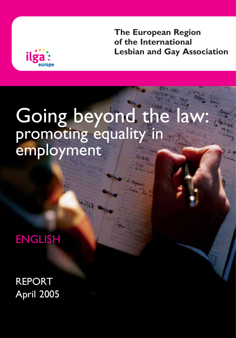**The European Region of the International Lesbian and Gay Association**



# Going beyond the law: promoting equality in **employment**

ENGLISH

REPORT April 2005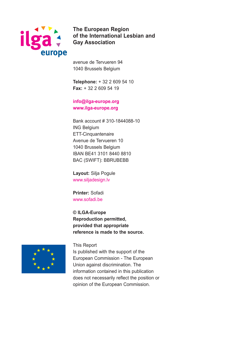

**The European Region of the International Lesbian and Gay Association**

avenue de Tervueren 94 1040 Brussels Belgium

**Telephone:** + 32 2 609 54 10 **Fax:** + 32 2 609 54 19

#### **info@ilga-europe.org www.ilga-europe.org**

Bank account # 310-1844088-10 ING Belgium ETT-Cinquantenaire Avenue de Tervueren 10 1040 Brussels Belgium IBAN BE41 3101 8440 8810 BAC (SWIFT): BBRUBEBB

**Layout:** Silja Pogule www.siljadesign.lv

**Printer:** Sofadi www.sofadi.be

**© ILGA-Europe Reproduction permitted, provided that appropriate reference is made to the source.**



This Report Is published with the support of the European Commission - The European Union against discrimination. The information contained in this publication does not necessarily reflect the position or

opinion of the European Commission.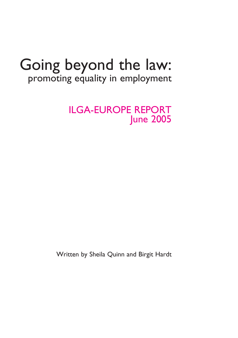# Going beyond the law: promoting equality in employment

ILGA-EUROPE REPORT June 2005

Written by Sheila Quinn and Birgit Hardt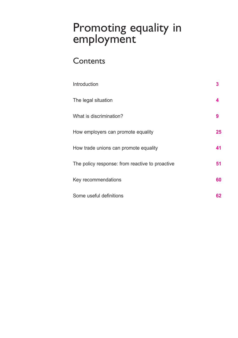# Promoting equality in employment

# **Contents**

| Introduction                                    | 3  |
|-------------------------------------------------|----|
| The legal situation                             | 4  |
| What is discrimination?                         | 9  |
| How employers can promote equality              | 25 |
| How trade unions can promote equality           | 41 |
| The policy response: from reactive to proactive | 51 |
| Key recommendations                             | 60 |
| Some useful definitions                         | 62 |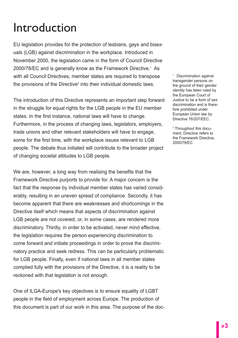# Introduction

EU legislation provides for the protection of lesbians, gays and bisexuals (LGB) against discrimination in the workplace. Introduced in November 2000, the legislation came in the form of Council Directive 2000/78/EC and is generally know as the Framework Directive.<sup>1</sup> As with all Council Directives, member states are required to transpose the provisions of the Directive<sup>2</sup> into their individual domestic laws.

The introduction of this Directive represents an important step forward in the struggle for equal rights for the LGB people in the EU member states. In the first instance, national laws will have to change. Furthermore, in the process of changing laws, legislators, employers, trade unions and other relevant stakeholders will have to engage, some for the first time, with the workplace issues relevant to LGB people. The debate thus initiated will contribute to the broader project of changing societal attitudes to LGB people.

We are, however, a long way from realising the benefits that the Framework Directive purports to provide for. A major concern is the fact that the response by individual member states has varied considerably, resulting in an uneven spread of compliance. Secondly, it has become apparent that there are weaknesses and shortcomings in the Directive itself which means that aspects of discrimination against LGB people are not covered, or, in some cases, are rendered more discriminatory. Thirdly, in order to be activated, never mind effective, the legislation requires the person experiencing discrimination to come forward and initiate proceedings in order to prove the discriminatory practice and seek redress. This can be particularly problematic for LGB people. Finally, even if national laws in all member states complied fully with the provisions of the Directive, it is a reality to be reckoned with that legislation is not enough.

One of ILGA-Europe's key objectives is to ensure equality of LGBT people in the field of employment across Europe. The production of this document is part of our work in this area. The purpose of the doc-

1 Discrimination against transgender persons on the ground of their gender identity has been ruled by the European Court of Justice to be a form of sex discrimination and is therefore prohibited under European Union law by Directive 76/207/EEC.

<sup>2</sup> Throughout this document, Directive refers to the Framework Directive, 2000/78/EC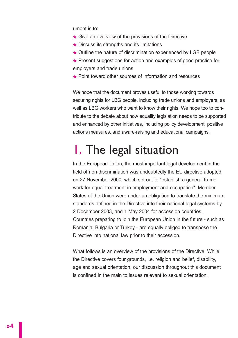ument is to:

- **\*** Give an overview of the provisions of the Directive
- **\*** Discuss its strengths and its limitations
- **\*** Outline the nature of discrimination experienced by LGB people
- **\*** Present suggestions for action and examples of good practice for employers and trade unions
- **\*** Point toward other sources of information and resources

We hope that the document proves useful to those working towards securing rights for LBG people, including trade unions and employers, as well as LBG workers who want to know their rights. We hope too to contribute to the debate about how equality legislation needs to be supported and enhanced by other initiatives, including policy development, positive actions measures, and aware-raising and educational campaigns.

# 1. The legal situation

In the European Union, the most important legal development in the field of non-discrimination was undoubtedly the EU directive adopted on 27 November 2000, which set out to "establish a general framework for equal treatment in employment and occupation". Member States of the Union were under an obligation to translate the minimum standards defined in the Directive into their national legal systems by 2 December 2003, and 1 May 2004 for accession countries. Countries preparing to join the European Union in the future - such as Romania, Bulgaria or Turkey - are equally obliged to transpose the Directive into national law prior to their accession.

What follows is an overview of the provisions of the Directive. While the Directive covers four grounds, i.e. religion and belief, disability, age and sexual orientation, our discussion throughout this document is confined in the main to issues relevant to sexual orientation.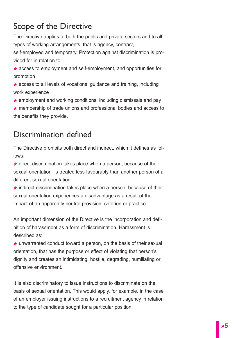# Scope of the Directive

The Directive applies to both the public and private sectors and to all types of working arrangements, that is agency, contract,

self-employed and temporary. Protection against discrimination is provided for in relation to:

- **\*** access to employment and self-employment, and opportunities for promotion
- **\*** access to all levels of vocational guidance and training, including work experience
- **\*** employment and working conditions, including dismissals and pay
- **\*** membership of trade unions and professional bodies and access to the benefits they provide.

# Discrimination defined

The Directive prohibits both direct and indirect, which it defines as follows:

**\*** direct discrimination takes place when a person, because of their sexual orientation is treated less favourably than another person of a different sexual orientation;

**\*** indirect discrimination takes place when a person, because of their sexual orientation experiences a disadvantage as a result of the impact of an apparently neutral provision, criterion or practice.

An important dimension of the Directive is the incorporation and definition of harassment as a form of discrimination. Harassment is described as:

**\*** unwarranted conduct toward a person, on the basis of their sexual orientation, that has the purpose or effect of violating that person's dignity and creates an intimidating, hostile, degrading, humiliating or offensive environment.

It is also discriminatory to issue instructions to discriminate on the basis of sexual orientation. This would apply, for example, in the case of an employer issuing instructions to a recruitment agency in relation to the type of candidate sought for a particular position.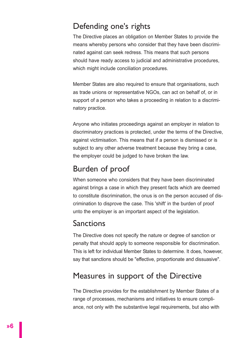# Defending one's rights

The Directive places an obligation on Member States to provide the means whereby persons who consider that they have been discriminated against can seek redress. This means that such persons should have ready access to judicial and administrative procedures, which might include conciliation procedures.

Member States are also required to ensure that organisations, such as trade unions or representative NGOs, can act on behalf of, or in support of a person who takes a proceeding in relation to a discriminatory practice.

Anyone who initiates proceedings against an employer in relation to discriminatory practices is protected, under the terms of the Directive, against victimisation. This means that if a person is dismissed or is subject to any other adverse treatment because they bring a case, the employer could be judged to have broken the law.

# Burden of proof

When someone who considers that they have been discriminated against brings a case in which they present facts which are deemed to constitute discrimination, the onus is on the person accused of discrimination to disprove the case. This 'shift' in the burden of proof unto the employer is an important aspect of the legislation.

# Sanctions

The Directive does not specify the nature or degree of sanction or penalty that should apply to someone responsible for discrimination. This is left for individual Member States to determine. It does, however, say that sanctions should be "effective, proportionate and dissuasive".

# Measures in support of the Directive

The Directive provides for the establishment by Member States of a range of processes, mechanisms and initiatives to ensure compliance, not only with the substantive legal requirements, but also with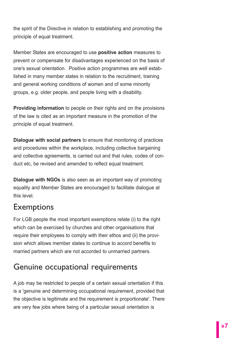the spirit of the Directive in relation to establishing and promoting the principle of equal treatment.

Member States are encouraged to use **positive action** measures to prevent or compensate for disadvantages experienced on the basis of one's sexual orientation. Positive action programmes are well established in many member states in relation to the recruitment, training and general working conditions of women and of some minority groups, e.g. older people, and people living with a disability.

**Providing information** to people on their rights and on the provisions of the law is cited as an important measure in the promotion of the principle of equal treatment.

**Dialogue with social partners** to ensure that monitoring of practices and procedures within the workplace, including collective bargaining and collective agreements, is carried out and that rules, codes of conduct etc, be revised and amended to reflect equal treatment.

**Dialogue with NGOs** is also seen as an important way of promoting equality and Member States are encouraged to facilitate dialogue at this level.

# Exemptions

For LGB people the most important exemptions relate (i) to the right which can be exercised by churches and other organisations that require their employees to comply with their ethos and (ii) the provision which allows member states to continue to accord benefits to married partners which are not accorded to unmarried partners.

# Genuine occupational requirements

A job may be restricted to people of a certain sexual orientation if this is a 'genuine and determining occupational requirement, provided that the objective is legitimate and the requirement is proportionate'. There are very few jobs where being of a particular sexual orientation is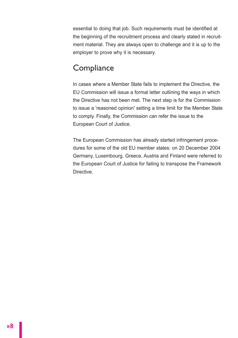essential to doing that job. Such requirements must be identified at the beginning of the recruitment process and clearly stated in recruitment material. They are always open to challenge and it is up to the employer to prove why it is necessary.

# **Compliance**

In cases where a Member State fails to implement the Directive, the EU Commission will issue a formal letter outlining the ways in which the Directive has not been met. The next step is for the Commission to issue a 'reasoned opinion' setting a time limit for the Member State to comply. Finally, the Commission can refer the issue to the European Court of Justice.

The European Commission has already started infringement procedures for some of the old EU member states: on 20 December 2004 Germany, Luxembourg, Greece, Austria and Finland were referred to the European Court of Justice for failing to transpose the Framework Directive.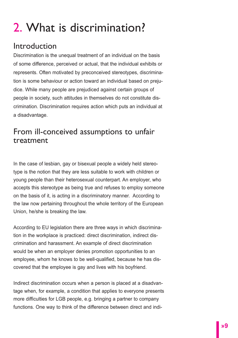# 2. What is discrimination?

# Introduction

Discrimination is the unequal treatment of an individual on the basis of some difference, perceived or actual, that the individual exhibits or represents. Often motivated by preconceived stereotypes, discrimination is some behaviour or action toward an individual based on prejudice. While many people are prejudiced against certain groups of people in society, such attitudes in themselves do not constitute discrimination. Discrimination requires action which puts an individual at a disadvantage.

# From ill-conceived assumptions to unfair treatment

In the case of lesbian, gay or bisexual people a widely held stereotype is the notion that they are less suitable to work with children or young people than their heterosexual counterpart. An employer, who accepts this stereotype as being true and refuses to employ someone on the basis of it, is acting in a discriminatory manner. According to the law now pertaining throughout the whole territory of the European Union, he/she is breaking the law.

According to EU legislation there are three ways in which discrimination in the workplace is practiced: direct discrimination, indirect discrimination and harassment. An example of direct discrimination would be when an employer denies promotion opportunities to an employee, whom he knows to be well-qualified, because he has discovered that the employee is gay and lives with his boyfriend.

Indirect discrimination occurs when a person is placed at a disadvantage when, for example, a condition that applies to everyone presents more difficulties for LGB people, e.g. bringing a partner to company functions. One way to think of the difference between direct and indi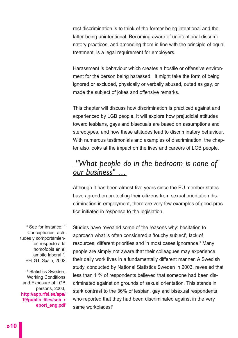rect discrimination is to think of the former being intentional and the latter being unintentional. Becoming aware of unintentional discriminatory practices, and amending them in line with the principle of equal treatment, is a legal requirement for employers.

Harassment is behaviour which creates a hostile or offensive environment for the person being harassed. It might take the form of being ignored or excluded, physically or verbally abused, outed as gay, or made the subject of jokes and offensive remarks.

This chapter will discuss how discrimination is practiced against and experienced by LGB people. It will explore how prejudicial attitudes toward lesbians, gays and bisexuals are based on assumptions and stereotypes, and how these attitudes lead to discriminatory behaviour. With numerous testimonials and examples of discrimination, the chapter also looks at the impact on the lives and careers of LGB people.

# *"What people do in the bedroom is none of our business" …*

Although it has been almost five years since the EU member states have agreed on protecting their citizens from sexual orientation discrimination in employment, there are very few examples of good practice initiated in response to the legislation.

<sup>3</sup> See for instance: " Conceptiones, actitudes y comportamientos respecto a la homofobia en el ambito laboral ", FELGT, Spain, 2002

<sup>4</sup> Statistics Sweden, Working Conditions and Exposure of LGB persons, 2003, **http://app.rfsl.se/apa/ 19/public\_files/scb\_r eport\_eng.pdf**  Studies have revealed some of the reasons why: hesitation to approach what is often considered a 'touchy subject', lack of resources, different priorities and in most cases ignorance.<sup>3</sup> Many people are simply not aware that their colleagues may experience their daily work lives in a fundamentally different manner. A Swedish study, conducted by National Statistics Sweden in 2003, revealed that less than 1 % of respondents believed that someone had been discriminated against on grounds of sexual orientation. This stands in stark contrast to the 36% of lesbian, gay and bisexual respondents who reported that they had been discriminated against in the very same workplaces!<sup>4</sup>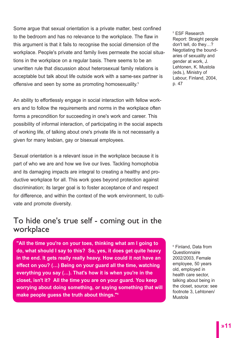Some argue that sexual orientation is a private matter, best confined to the bedroom and has no relevance to the workplace. The flaw in this argument is that it fails to recognise the social dimension of the workplace. People's private and family lives permeate the social situations in the workplace on a regular basis. There seems to be an unwritten rule that discussion about heterosexual family relations is acceptable but talk about life outside work with a same-sex partner is offensive and seen by some as promoting homosexuality.<sup>5</sup>

An ability to effortlessly engage in social interaction with fellow workers and to follow the requirements and norms in the workplace often forms a precondition for succeeding in one's work and career. This possibility of informal interaction, of participating in the social aspects of working life, of talking about one's private life is not necessarily a given for many lesbian, gay or bisexual employees.

Sexual orientation is a relevant issue in the workplace because it is part of who we are and how we live our lives. Tackling homophobia and its damaging impacts are integral to creating a healthy and productive workplace for all. This work goes beyond protection against discrimination; its larger goal is to foster acceptance of and respect for difference, and within the context of the work environment, to cultivate and promote diversity.

# To hide one's true self - coming out in the workplace

**"All the time you're on your toes, thinking what am I going to do, what should I say to this? So, yes, it does get quite heavy in the end. It gets really really heavy. How could it not have an effect on you? (…) Being on your guard all the time, watching everything you say (…). That's how it is when you're in the closet, isn't it? All the time you are on your guard. You keep worrying about doing something, or saying something that will make people guess the truth about things."6**

<sup>5</sup> ESF Research Report: Straight people don't tell, do they…? Negotiating the boundaries of sexuality and gender at work, J. Lehtonen, K. Mustola (eds.), Ministry of Labour, Finland, 2004, p. 47

<sup>6</sup> Finland, Data from Questionnaire 2002/2003, Female employee, 50 years old, employed in health care sector, talking about being in the closet, source: see footnote 3, Lehtonen/ Mustola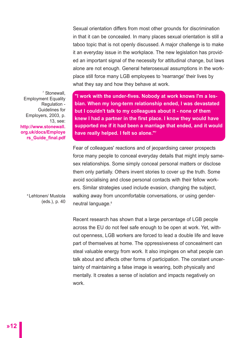Sexual orientation differs from most other grounds for discrimination in that it can be concealed. In many places sexual orientation is still a taboo topic that is not openly discussed. A major challenge is to make it an everyday issue in the workplace. The new legislation has provided an important signal of the necessity for attitudinal change, but laws alone are not enough. General heterosexual assumptions in the workplace still force many LGB employees to 'rearrange' their lives by what they say and how they behave at work.

<sup>7</sup> Stonewall, Employment Equality Regulation - Guidelines for Employers, 2003, p. 13, see: **http://www.stonewall. org.uk/docs/Employe rs\_Guide\_final.pdf**

**"I work with the under-fives. Nobody at work knows I'm a lesbian. When my long-term relationship ended, I was devastated but I couldn't talk to my colleagues about it - none of them knew I had a partner in the first place. I know they would have supported me if it had been a marriage that ended, and it would have really helped. I felt so alone."7**

Fear of colleagues' reactions and of jeopardising career prospects force many people to conceal everyday details that might imply samesex relationships. Some simply conceal personal matters or disclose them only partially. Others invent stories to cover up the truth. Some avoid socialising and close personal contacts with their fellow workers. Similar strategies used include evasion, changing the subject, walking away from uncomfortable conversations, or using genderneutral language.<sup>8</sup>

8 Lehtonen/ Mustola (eds.), p. 40

> Recent research has shown that a large percentage of LGB people across the EU do not feel safe enough to be open at work. Yet, without openness, LGB workers are forced to lead a double life and leave part of themselves at home. The oppressiveness of concealment can steal valuable energy from work. It also impinges on what people can talk about and affects other forms of participation. The constant uncertainty of maintaining a false image is wearing, both physically and mentally. It creates a sense of isolation and impacts negatively on work.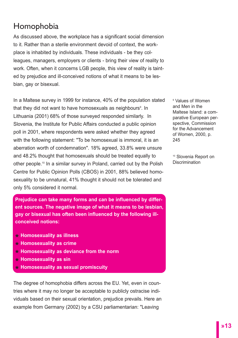# Homophobia

As discussed above, the workplace has a significant social dimension to it. Rather than a sterile environment devoid of context, the workplace is inhabited by individuals. These individuals - be they colleagues, managers, employers or clients - bring their view of reality to work. Often, when it concerns LGB people, this view of reality is tainted by prejudice and ill-conceived notions of what it means to be lesbian, gay or bisexual.

In a Maltese survey in 1999 for instance, 40% of the population stated that they did not want to have homosexuals as neighbours<sup>9</sup>. In Lithuania (2001) 68% of those surveyed responded similarly. In Slovenia, the Institute for Public Affairs conducted a public opinion poll in 2001, where respondents were asked whether they agreed with the following statement: "To be homosexual is immoral, it is an aberration worth of condemnation". 18% agreed, 33.8% were unsure and 48.2% thought that homosexuals should be treated equally to other people.<sup>10</sup> In a similar survey in Poland, carried out by the Polish Centre for Public Opinion Polls (CBOS) in 2001, 88% believed homosexuality to be unnatural, 41% thought it should not be tolerated and only 5% considered it normal.

**Prejudice can take many forms and can be influenced by different sources. The negative image of what it means to be lesbian, gay or bisexual has often been influenced by the following illconceived notions:**

- **\* Homosexuality as illness**
- **\* Homosexuality as crime**
- **\* Homosexuality as deviance from the norm**
- **\* Homosexuality as sin**
- **\* Homosexuality as sexual promiscuity**

The degree of homophobia differs across the EU. Yet, even in countries where it may no longer be acceptable to publicly ostracise individuals based on their sexual orientation, prejudice prevails. Here an example from Germany (2002) by a CSU parliamentarian: "Leaving

<sup>9</sup> Values of Women and Men in the Maltese Island: a comparative European perspective, Commission for the Advancement of Women, 2000, p. 245

<sup>10</sup> Slovenia Report on **Discrimination**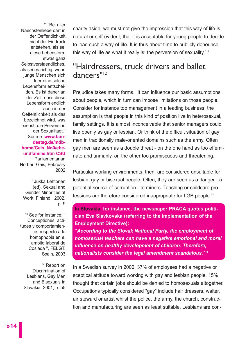<sup>11</sup> "Bei aller Naechstenliebe darf in der Oeffentlichkeit nicht der Eindruck entstehen, als sei diese Lebensform etwas ganz Selbstverstaendliches, als sei es richtig, wenn junge Menschen sich fuer eine solche Lebensform entscheiden. Es ist daher an der Zeit, dass diese Lebensform endlich auch in der Oeffentlichkeit als das bezeichnet wird, was sie ist: die Perversion der Sexualitaet." Source: **www.bundestag.de/mdbhome/Geis\_No0/eheundfamilie.htm CSU** Parliamentarian Norbert Geis, February 2002

<sup>12</sup> Jukka Lehtonen (ed), Sexual and Gender Minorities at Work, Finland, 2002, p. 9

<sup>13</sup> See for instance: " Conceptiones, actitudes y comportamientos respecto a la homophobia en el ambito laboral de Coslada ", FELGT, Spain, 2003

<sup>14</sup> Report on Discrimination of Lesbians, Gay Men and Bisexuals in Slovakia, 2001, p. 55 charity aside, we must not give the impression that this way of life is natural or self-evident, that it is acceptable for young people to decide to lead such a way of life. It is thus about time to publicly denounce this way of life as what it really is: the perversion of sexuality."<sup>11</sup>

# "Hairdressers, truck drivers and ballet dancers"12

Prejudice takes many forms. It can influence our basic assumptions about people, which in turn can impose limitations on those people. Consider for instance top management in a leading business: the assumption is that people in this kind of position live in heterosexual, family settings. It is almost inconceivable that senior managers could live openly as gay or lesbian. Or think of the difficult situation of gay men in traditionally male-oriented domains such as the army. Often gay men are seen as a double threat - on the one hand as too effeminate and unmanly, on the other too promiscuous and threatening.

Particular working environments, then, are considered unsuitable for lesbian, gay or bisexual people. Often, they are seen as a danger - a potential source of corruption - to minors. Teaching or childcare professions are therefore considered inappropriate for LGB people.<sup>13</sup>

**In Slovakia, for instance, the newspaper PRACA quotes politician Eva Slavkovska (referring to the implementation of the Employment Directive):** 

*"According to the Slovak National Party, the employment of homosexual teachers can have a negative emotional and moral influence on healthy development of children. Therefore, nationalists consider the legal amendment scandalous."14*

In a Swedish survey in 2000, 37% of employees had a negative or sceptical attitude toward working with gay and lesbian people, 15% thought that certain jobs should be denied to homosexuals altogether. Occupations typically considered "gay" include hair dressers, waiter, air steward or artist whilst the police, the army, the church, construction and manufacturing are seen as least suitable. Lesbians are con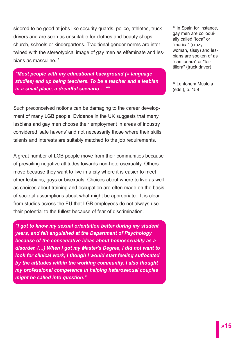sidered to be good at jobs like security guards, police, athletes, truck drivers and are seen as unsuitable for clothes and beauty shops, church, schools or kindergartens. Traditional gender norms are intertwined with the stereotypical image of gay men as effeminate and lesbians as masculine.<sup>15</sup>

*"Most people with my educational background (= language studies) end up being teachers. To be a teacher and a lesbian in a small place, a dreadful scenario… "16*

Such preconceived notions can be damaging to the career development of many LGB people. Evidence in the UK suggests that many lesbians and gay men choose their employment in areas of industry considered 'safe havens' and not necessarily those where their skills, talents and interests are suitably matched to the job requirements.

A great number of LGB people move from their communities because of prevailing negative attitudes towards non-heterosexuality. Others move because they want to live in a city where it is easier to meet other lesbians, gays or bisexuals. Choices about where to live as well as choices about training and occupation are often made on the basis of societal assumptions about what might be appropriate. It is clear from studies across the EU that LGB employees do not always use their potential to the fullest because of fear of discrimination.

*"I got to know my sexual orientation better during my student years, and felt anguished at the Department of Psychology because of the conservative ideas about homosexuality as a disorder. (…) When I got my Master's Degree, I did not want to look for clinical work, I though I would start feeling suffocated by the attitudes within the working community. I also thought my professional competence in helping heterosexual couples might be called into question."* 

<sup>15</sup> In Spain for instance. gay men are colloquially called "loca" or "marica" (crazy woman, sissy) and lesbians are spoken of as "camionera" or "tortillera" (truck driver)

<sup>16</sup> Lehtonen/ Mustola (eds.), p. 159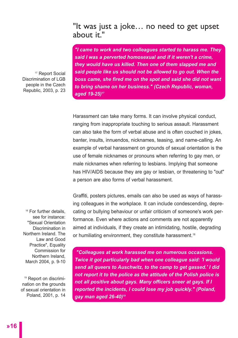## "It was just a joke… no need to get upset about it."

*"I came to work and two colleagues started to harass me. They said I was a perverted homosexual and if it weren't a crime, they would have us killed. Then one of them slapped me and said people like us should not be allowed to go out. When the boss came, she fired me on the spot and said she did not want to bring shame on her business." (Czech Republic, woman, aged 19-25)17*

Harassment can take many forms. It can involve physical conduct, ranging from inappropriate touching to serious assault. Harassment can also take the form of verbal abuse and is often couched in jokes, banter, insults, innuendos, nicknames, teasing, and name-calling. An example of verbal harassment on grounds of sexual orientation is the use of female nicknames or pronouns when referring to gay men, or male nicknames when referring to lesbians. Implying that someone has HIV/AIDS because they are gay or lesbian, or threatening to "out" a person are also forms of verbal harassment.

Graffiti, posters pictures, emails can also be used as ways of harassing colleagues in the workplace. It can include condescending, deprecating or bullying behaviour or unfair criticism of someone's work performance. Even where actions and comments are not apparently aimed at individuals, if they create an intimidating, hostile, degrading or humiliating environment, they constitute harassment.<sup>18</sup>

*"Colleagues at work harassed me on numerous occasions. Twice it got particularly bad when one colleague said: 'I would send all queers to Auschwitz, to the camp to get gassed.' I did not report it to the police as the attitude of the Polish police is not all positive about gays. Many officers sneer at gays. If I reported the incidents, I could lose my job quickly." (Poland, gay man aged 26-40)19*

<sup>18</sup> For further details. see for instance: "Sexual Orientation Discrimination in Northern Ireland. The Law and Good Practice", Equality Commission for Northern Ireland, March 2004, p. 9-10

<sup>17</sup> Report Social Discrimination of LGB people in the Czech Republic, 2003, p. 23

<sup>19</sup> Report on discrimination on the grounds of sexual orientation in Poland, 2001, p. 14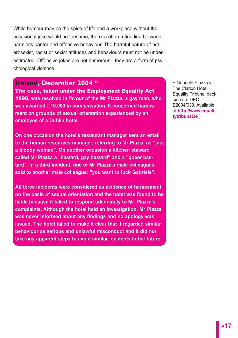While humour may be the spice of life and a workplace without the occasional joke would be tiresome, there is often a fine line between harmless banter and offensive behaviour. The harmful nature of heterosexist, racist or sexist attitudes and behaviours must not be underestimated. Offensive jokes are not humorous - they are a form of psychological violence.

#### **Ireland, December 2004 20**

The case, taken under the Employment Equality Act 1998**, was resolved in favour of the Mr Piazza, a gay man, who was awarded €10,000 in compensation. It concerned harassment on grounds of sexual orientation experienced by an employee of a Dublin hotel.** 

**On one occasion the hotel's restaurant manager sent an email to the human resources manager, referring to Mr Piazza as "just a bloody woman". On another occasion a kitchen steward called Mr Piazza a "bastard, gay bastard" and a "queer bastard". In a third incident, one of Mr Piazza's male colleagues said to another male colleague: "you want to fuck Gabriele".** 

**All three incidents were considered as evidence of harassment on the basis of sexual orientation and the hotel was found to be liable because it failed to respond adequately to Mr. Piazza's complaints. Although the hotel held an investigation, Mr Piazza was never informed about any findings and no apology was issued. The hotel failed to make it clear that it regarded similar behaviour as serious and unlawful misconduct and it did not take any apparent steps to avoid similar incidents in the future.**

<sup>20</sup> Gabriele Piazza v The Clarion Hotel. Equality Tribunal decision no. DEC-E2004/033. Available at **http://www.equalitytribunal.ie** )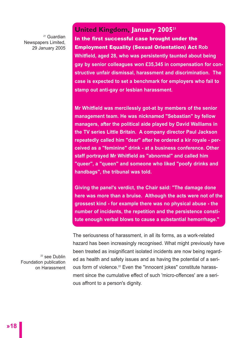<sup>21</sup> Guardian Newspapers Limited, 29 January 2005

#### **United Kingdom, January 200521**

In the first successful case brought under the Employment Equality (Sexual Orientation) Act **Rob Whitfield, aged 28, who was persistently taunted about being gay by senior colleagues won £35,345 in compensation for constructive unfair dismissal, harassment and discrimination. The case is expected to set a benchmark for employers who fail to stamp out anti-gay or lesbian harassment.**

**Mr Whitfield was mercilessly got-at by members of the senior management team. He was nicknamed "Sebastian" by fellow managers, after the political aide played by David Walliams in the TV series Little Britain. A company director Paul Jackson repeatedly called him "dear" after he ordered a kir royale - perceived as a "feminine" drink - at a business conference. Other staff portrayed Mr Whitfield as "abnormal" and called him "queer", a "queen" and someone who liked "poofy drinks and handbags", the tribunal was told.** 

**Giving the panel's verdict, the Chair said: "The damage done here was more than a bruise. Although the acts were not of the grossest kind - for example there was no physical abuse - the number of incidents, the repetition and the persistence constitute enough verbal blows to cause a substantial hemorrhage."**

<sup>22</sup> see Dublin Foundation publication on Harassment

The seriousness of harassment, in all its forms, as a work-related hazard has been increasingly recognised. What might previously have been treated as insignificant isolated incidents are now being regarded as health and safety issues and as having the potential of a serious form of violence.<sup>22</sup> Even the "innocent jokes" constitute harassment since the cumulative effect of such 'micro-offences' are a serious affront to a person's dignity.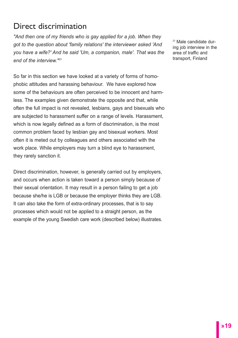# Direct discrimination

*"And then one of my friends who is gay applied for a job. When they got to the question about 'family relations' the interviewer asked 'And you have a wife?' And he said 'Um, a companion, male'. That was the end of the interview."23*

So far in this section we have looked at a variety of forms of homophobic attitudes and harassing behaviour. We have explored how some of the behaviours are often perceived to be innocent and harmless. The examples given demonstrate the opposite and that, while often the full impact is not revealed, lesbians, gays and bisexuals who are subjected to harassment suffer on a range of levels. Harassment, which is now legally defined as a form of discrimination, is the most common problem faced by lesbian gay and bisexual workers. Most often it is meted out by colleagues and others associated with the work place. While employers may turn a blind eye to harassment, they rarely sanction it.

Direct discrimination, however, is generally carried out by employers, and occurs when action is taken toward a person simply because of their sexual orientation. It may result in a person failing to get a job because she/he is LGB or because the employer thinks they are LGB. It can also take the form of extra-ordinary processes, that is to say processes which would not be applied to a straight person, as the example of the young Swedish care work (described below) illustrates. <sup>23</sup> Male candidate during job interview in the area of traffic and transport, Finland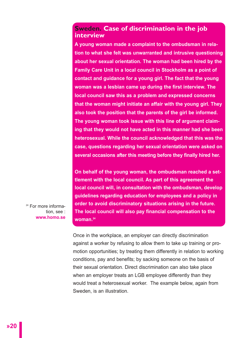#### **Sweden. Case of discrimination in the job interview**

**A young woman made a complaint to the ombudsman in relation to what she felt was unwarranted and intrusive questioning about her sexual orientation. The woman had been hired by the Family Care Unit in a local council in Stockholm as a point of contact and guidance for a young girl. The fact that the young woman was a lesbian came up during the first interview. The local council saw this as a problem and expressed concerns that the woman might initiate an affair with the young girl. They also took the position that the parents of the girl be informed. The young woman took issue with this line of argument claiming that they would not have acted in this manner had she been heterosexual. While the council acknowledged that this was the case, questions regarding her sexual orientation were asked on several occasions after this meeting before they finally hired her.**

**On behalf of the young woman, the ombudsman reached a settlement with the local council. As part of this agreement the local council will, in consultation with the ombudsman, develop guidelines regarding education for employees and a policy in order to avoid discriminatory situations arising in the future. The local council will also pay financial compensation to the woman.24**

<sup>24</sup> For more information, see : **www.homo.se**

> Once in the workplace, an employer can directly discrimination against a worker by refusing to allow them to take up training or promotion opportunities; by treating them differently in relation to working conditions, pay and benefits; by sacking someone on the basis of their sexual orientation. Direct discrimination can also take place when an employer treats an LGB employee differently than they would treat a heterosexual worker. The example below, again from Sweden, is an illustration.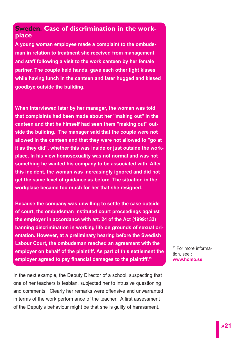#### **Sweden. Case of discrimination in the workplace**

**A young woman employee made a complaint to the ombudsman in relation to treatment she received from management and staff following a visit to the work canteen by her female partner. The couple held hands, gave each other light kisses while having lunch in the canteen and later hugged and kissed goodbye outside the building.** 

**When interviewed later by her manager, the woman was told that complaints had been made about her "making out" in the canteen and that he himself had seen them "making out" outside the building. The manager said that the couple were not allowed in the canteen and that they were not allowed to "go at it as they did", whether this was inside or just outside the workplace. In his view homosexuality was not normal and was not something he wanted his company to be associated with. After this incident, the woman was increasingly ignored and did not get the same level of guidance as before. The situation in the workplace became too much for her that she resigned.** 

**Because the company was unwilling to settle the case outside of court, the ombudsman instituted court proceedings against the employer in accordance with art. 24 of the Act (1999:133) banning discrimination in working life on grounds of sexual orientation. However, at a preliminary hearing before the Swedish Labour Court, the ombudsman reached an agreement with the employer on behalf of the plaintiff. As part of this settlement the employer agreed to pay financial damages to the plaintiff.25**

In the next example, the Deputy Director of a school, suspecting that one of her teachers is lesbian, subjected her to intrusive questioning and comments. Clearly her remarks were offensive and unwarranted in terms of the work performance of the teacher. A first assessment of the Deputy's behaviour might be that she is guilty of harassment.

<sup>25</sup> For more information, see : **www.homo.se**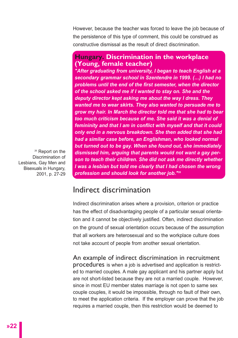However, because the teacher was forced to leave the job because of the persistence of this type of comment, this could be construed as constructive dismissal as the result of direct discrimination.

#### **Hungary. Discrimination in the workplace (Young, female teacher)**

*"After graduating from university, I began to teach English at a secondary grammar school in Szentendre in 1999. (…) I had no problems until the end of the first semester, when the director of the school asked me if I wanted to stay on. She and the deputy director kept asking me about the way I dress. They wanted me to wear skirts. They also wanted to persuade me to grow my hair. In March the director told me that she had to bear too much criticism because of me. She said it was a denial of femininity and that I am in conflict with myself and that it could only end in a nervous breakdown. She then added that she had had a similar case before, an Englishman, who looked normal but turned out to be gay. When she found out, she immediately dismissed him, arguing that parents would not want a gay person to teach their children. She did not ask me directly whether I was a lesbian but told me clearly that I had chosen the wrong profession and should look for another job."26*

<sup>26</sup> Report on the Discrimination of Lesbians, Gay Men and Bisexuals in Hungary, 2001, p. 27-29

# Indirect discrimination

Indirect discrimination arises where a provision, criterion or practice has the effect of disadvantaging people of a particular sexual orientation and it cannot be objectively justified. Often, indirect discrimination on the ground of sexual orientation occurs because of the assumption that all workers are heterosexual and so the workplace culture does not take account of people from another sexual orientation.

An example of indirect discrimination in recruitment procedures is when a job is advertised and application is restricted to married couples. A male gay applicant and his partner apply but are not short-listed because they are not a married couple. However, since in most EU member states marriage is not open to same sex couple couples, it would be impossible, through no fault of their own, to meet the application criteria. If the employer can prove that the job requires a married couple, then this restriction would be deemed to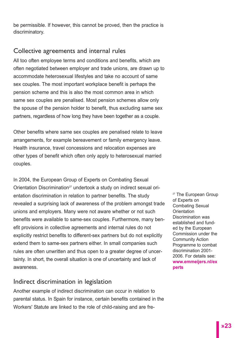be permissible. If however, this cannot be proved, then the practice is discriminatory.

#### Collective agreements and internal rules

All too often employee terms and conditions and benefits, which are often negotiated between employer and trade unions, are drawn up to accommodate heterosexual lifestyles and take no account of same sex couples. The most important workplace benefit is perhaps the pension scheme and this is also the most common area in which same sex couples are penalised. Most pension schemes allow only the spouse of the pension holder to benefit, thus excluding same sex partners, regardless of how long they have been together as a couple.

Other benefits where same sex couples are penalised relate to leave arrangements, for example bereavement or family emergency leave. Health insurance, travel concessions and relocation expenses are other types of benefit which often only apply to heterosexual married couples.

In 2004, the European Group of Experts on Combating Sexual Orientation Discrimination<sup>27</sup> undertook a study on indirect sexual orientation discrimination in relation to partner benefits. The study revealed a surprising lack of awareness of the problem amongst trade unions and employers. Many were not aware whether or not such benefits were available to same-sex couples. Furthermore, many benefit provisions in collective agreements and internal rules do not explicitly restrict benefits to different-sex partners but do not explicitly extend them to same-sex partners either. In small companies such rules are often unwritten and thus open to a greater degree of uncertainty. In short, the overall situation is one of uncertainty and lack of awareness.

#### Indirect discrimination in legislation

Another example of indirect discrimination can occur in relation to parental status. In Spain for instance, certain benefits contained in the Workers' Statute are linked to the role of child-raising and are fre<sup>27</sup> The European Group of Experts on Combating Sexual **Orientation** Discrimination was established and funded by the European Commission under the Community Action Programme to combat discrimination 2001- 2006. For details see: **www.emmeijers.nl/ex perts**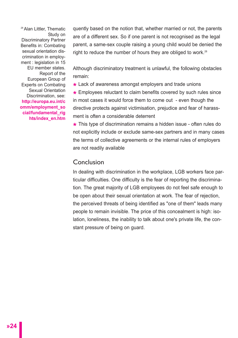28 Alan Littler, Thematic Study on Discriminatory Partner Benefits in: Combating sexual orientation discrimination in employment : legislation in 15 EU member states. Report of the European Group of Experts on Combating Sexual Orientation Discrimination, see: **http://europa.eu.int/c omm/employment\_so cial/fundamental\_rig hts/index\_en.htm** 

quently based on the notion that, whether married or not, the parents are of a different sex. So if one parent is not recognised as the legal parent, a same-sex couple raising a young child would be denied the right to reduce the number of hours they are obliged to work.<sup>28</sup>

Although discriminatory treatment is unlawful, the following obstacles remain:

**\*** Lack of awareness amongst employers and trade unions

**\*** Employees reluctant to claim benefits covered by such rules since in most cases it would force them to come out - even though the directive protects against victimisation, prejudice and fear of harassment is often a considerable deterrent

**\*** This type of discrimination remains a hidden issue - often rules do not explicitly include or exclude same-sex partners and in many cases the terms of collective agreements or the internal rules of employers are not readily available

#### Conclusion

In dealing with discrimination in the workplace, LGB workers face particular difficulties. One difficulty is the fear of reporting the discrimination. The great majority of LGB employees do not feel safe enough to be open about their sexual orientation at work. The fear of rejection, the perceived threats of being identified as "one of them" leads many people to remain invisible. The price of this concealment is high: isolation, loneliness, the inability to talk about one's private life, the constant pressure of being on guard.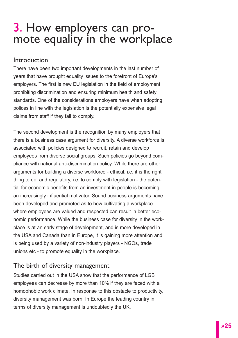# 3. How employers can pro-<br>mote equality in the workplace

#### Introduction

There have been two important developments in the last number of years that have brought equality issues to the forefront of Europe's employers. The first is new EU legislation in the field of employment prohibiting discrimination and ensuring minimum health and safety standards. One of the considerations employers have when adopting polices in line with the legislation is the potentially expensive legal claims from staff if they fail to comply.

The second development is the recognition by many employers that there is a business case argument for diversity. A diverse workforce is associated with policies designed to recruit, retain and develop employees from diverse social groups. Such policies go beyond compliance with national anti-discrimination policy. While there are other arguments for building a diverse workforce - ethical, i.e, it is the right thing to do; and regulatory, i.e. to comply with legislation - the potential for economic benefits from an investment in people is becoming an increasingly influential motivator. Sound business arguments have been developed and promoted as to how cultivating a workplace where employees are valued and respected can result in better economic performance. While the business case for diversity in the workplace is at an early stage of development, and is more developed in the USA and Canada than in Europe, it is gaining more attention and is being used by a variety of non-industry players - NGOs, trade unions etc - to promote equality in the workplace.

#### The birth of diversity management

Studies carried out in the USA show that the performance of LGB employees can decrease by more than 10% if they are faced with a homophobic work climate. In response to this obstacle to productivity, diversity management was born. In Europe the leading country in terms of diversity management is undoubtedly the UK.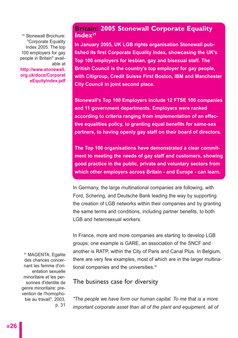<sup>29</sup> Stonewall Brochure: "Corporate Equality Index 2005. The top 100 employers for gay people in Britain" available at **http://www.stonewall. org.uk/docs/Corporat eEquityIndex.pdf** 

#### **Britain: 2005 Stonewall Corporate Equality Index29**

**In January 2005, UK LGB rights organisation Stonewall published its first Corporate Equality Index, showcasing the UK's Top 100 employers for lesbian, gay and bisexual staff. The British Council is the country's top employer for gay people, with Citigroup, Credit Suisse First Boston, IBM and Manchester City Council in joint second place.**

**Stonewall's Top 100 Employers include 12 FTSE 100 companies and 11 government departments. Employers were ranked according to criteria ranging from implementation of an effective equalities policy, to granting equal benefits for same-sex partners, to having openly gay staff on their board of directors.** 

**The Top 100 organisations have demonstrated a clear commitment to meeting the needs of gay staff and customers, showing good practice in the public, private and voluntary sectors from which other employers across Britain - and Europe - can learn.**

In Germany, the large multinational companies are following, with Ford, Schering, and Deutsche Bank leading the way by supporting the creation of LGB networks within their companies and by granting the same terms and conditions, including partner benefits, to both LGB and heterosexual workers.

In France, more and more companies are starting to develop LGB groups; one example is GARE, an association of the SNCF and another is RATP, within the City of Paris and Canal Plus. In Belgium, there are very few examples, most of which are in the larger multinational companies and the universities.<sup>30</sup>

#### The business case for diversity

*"The people we have form our human capital. To me that is a more important corporate asset than all of the plant and equipment, all of*

<sup>30</sup> MAGENTA, Egalite des chances concernant les femme d'orientation sexuelle minoritaire et les personnes d'identite de genre minoritaire: prevention de l'homophobie au travail", 2003, p. 31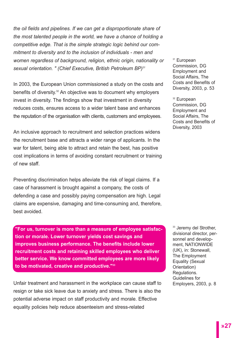*the oil fields and pipelines. If we can get a disproportionate share of the most talented people in the world, we have a chance of holding a competitive edge. That is the simple strategic logic behind our commitment to diversity and to the inclusion of individuals - men and women regardless of background, religion, ethnic origin, nationality or sexual orientation. " (Chief Executive, British Petroleum BP)31*

In 2003, the European Union commissioned a study on the costs and benefits of diversity.<sup>32</sup> An objective was to document why employers invest in diversity. The findings show that investment in diversity reduces costs, ensures access to a wider talent base and enhances the reputation of the organisation with clients, customers and employees.

An inclusive approach to recruitment and selection practices widens the recruitment base and attracts a wider range of applicants. In the war for talent, being able to attract and retain the best, has positive cost implications in terms of avoiding constant recruitment or training of new staff.

Preventing discrimination helps alleviate the risk of legal claims. If a case of harassment is brought against a company, the costs of defending a case and possibly paying compensation are high. Legal claims are expensive, damaging and time-consuming and, therefore, best avoided.

**"For us, turnover is more than a measure of employee satisfaction or morale. Lower turnover yields cost savings and improves business performance. The benefits include lower recruitment costs and retaining skilled employees who deliver better service. We know committed employees are more likely to be motivated, creative and productive."33**

Unfair treatment and harassment in the workplace can cause staff to resign or take sick leave due to anxiety and stress. There is also the potential adverse impact on staff productivity and morale. Effective equality policies help reduce absenteeism and stress-related

<sup>31</sup> European Commission, DG Employment and Social Affairs, The Costs and Benefits of Diversity, 2003, p. 53

<sup>32</sup> European Commission, DG Employment and Social Affairs, The Costs and Benefits of Diversity, 2003

<sup>33</sup> Jeremy del Strother. divisional director, personnel and development, NATIONWIDE (UK), in: Stonewall, The Employment Equality (Sexual Orientation) Regulations. Guidelines for<br>Emplovers, 2003, p. 8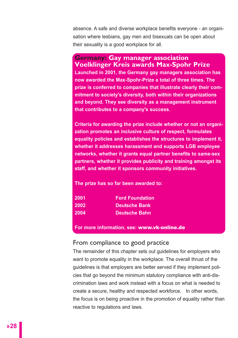absence. A safe and diverse workplace benefits everyone - an organisation where lesbians, gay men and bisexuals can be open about their sexuality is a good workplace for all.

#### **Germany: Gay manager association Voelklinger Kreis awards Max-Spohr Prize**

**Launched in 2001, the Germany gay managers association has now awarded the Max-Spohr-Prize a total of three times. The prize is conferred to companies that illustrate clearly their commitment to society's diversity, both within their organizations and beyond. They see diversity as a management instrument that contributes to a company's success.**

**Criteria for awarding the prize include whether or not an organization promotes an inclusive culture of respect, formulates equality policies and establishes the structures to implement it, whether it addresses harassment and supports LGB employee networks, whether it grants equal partner benefits to same-sex partners, whether it provides publicity and training amongst its staff, and whether it sponsors community initiatives.** 

**The prize has so far been awarded to:**

| 2001 | <b>Ford Foundation</b> |
|------|------------------------|
| 2002 | ⊦Deutsche Bank         |
| 2004 | <b>Deutsche Bahn</b>   |

**For more information, see:** www.vk-online.de

#### From compliance to good practice

The remainder of this chapter sets out guidelines for employers who want to promote equality in the workplace. The overall thrust of the guidelines is that employers are better served if they implement policies that go beyond the minimum statutory compliance with anti-discrimination laws and work instead with a focus on what is needed to create a secure, healthy and respected workforce. In other words, the focus is on being proactive in the promotion of equality rather than reactive to regulations and laws.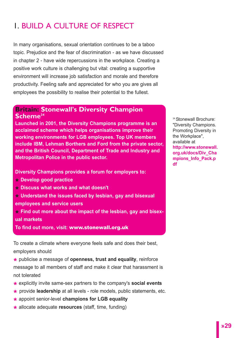# 1. BUILD A CULTURE OF RESPECT

In many organisations, sexual orientation continues to be a taboo topic. Prejudice and the fear of discrimination - as we have discussed in chapter 2 - have wide repercussions in the workplace. Creating a positive work culture is challenging but vital: creating a supportive environment will increase job satisfaction and morale and therefore productivity. Feeling safe and appreciated for who you are gives all employees the possibility to realise their potential to the fullest.

#### **Britain: Stonewall's Diversity Champion Scheme34**

**Launched in 2001, the Diversity Champions programme is an acclaimed scheme which helps organisations improve their working environments for LGB employees. Top UK members include IBM, Lehman Borthers and Ford from the private sector, and the British Council, Department of Trade and Industry and Metropolitan Police in the public sector.**

**Diversity Champions provides a forum for employers to:**

- **\* Develop good practice**
- **\* Discuss what works and what doesn't**

**\* Understand the issues faced by lesbian, gay and bisexual employees and service users**

**\* Find out more about the impact of the lesbian, gay and bisexual markets**

**To find out more, visit:** www.stonewall.org.uk

To create a climate where everyone feels safe and does their best, employers should

**\*** publicise a message of **openness, trust and equality**, reinforce message to all members of staff and make it clear that harassment is not tolerated

- **\*** explicitly invite same-sex partners to the company's **social events**
- **\*** provide **leadership** at all levels role models, public statements, etc.
- **\*** appoint senior-level **champions for LGB equality**
- **\*** allocate adequate **resources** (staff, time, funding)

34 Stonewall Brochure: "Diversity Champions. Promoting Diversity in the Workplace", available at **http://www.stonewall. org.uk/docs/Div\_Cha mpions\_Info\_Pack.p df**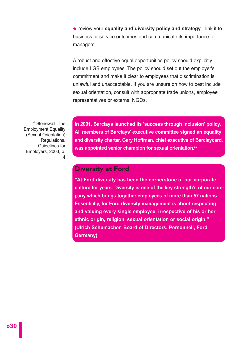**\*** review your **equality and diversity policy and strategy** - link it to business or service outcomes and communicate its importance to managers

A robust and effective equal opportunities policy should explicitly include LGB employees. The policy should set out the employer's commitment and make it clear to employees that discrimination is unlawful and unacceptable. If you are unsure on how to best include sexual orientation, consult with appropriate trade unions, employee representatives or external NGOs.

<sup>35</sup> Stonewall, The Employment Equality (Sexual Orientation) Regulations. Guidelines for Employers, 2003, p. 14 **In 2001, Barclays launched its 'success through inclusion' policy. All members of Barclays' executive committee signed an equality and diversity charter. Gary Hoffman, chief executive of Barclaycard, was appointed senior champion for sexual orientation.35**

#### **Diversity at Ford**

**"At Ford diversity has been the cornerstone of our corporate culture for years. Diversity is one of the key strength's of our company which brings together employees of more than 57 nations. Essentially, for Ford diversity management is about respecting and valuing every single employee, irrespective of his or her ethnic origin, religion, sexual orientation or social origin." (Ulrich Schumacher, Board of Directors, Personnell, Ford Germany)**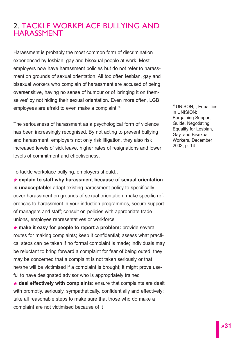# 2. TACKLE WORKPLACE BULLYING AND HARASSMENT

Harassment is probably the most common form of discrimination experienced by lesbian, gay and bisexual people at work. Most employers now have harassment policies but do not refer to harassment on grounds of sexual orientation. All too often lesbian, gay and bisexual workers who complain of harassment are accused of being oversensitive, having no sense of humour or of 'bringing it on themselves' by not hiding their sexual orientation. Even more often, LGB employees are afraid to even make a complaint.<sup>36</sup>

The seriousness of harassment as a psychological form of violence has been increasingly recognised. By not acting to prevent bullying and harassment, employers not only risk litigation, they also risk increased levels of sick leave, higher rates of resignations and lower levels of commitment and effectiveness.

To tackle workplace bullying, employers should…

**\* explain to staff why harassment because of sexual orientation is unacceptable:** adapt existing harassment policy to specifically cover harassment on grounds of sexual orientation; make specific references to harassment in your induction programmes, secure support of managers and staff; consult on policies with appropriate trade unions, employee representatives or workforce

**\* make it easy for people to report a problem:** provide several routes for making complaints; keep it confidential; assess what practical steps can be taken if no formal complaint is made; individuals may be reluctant to bring forward a complaint for fear of being outed; they may be concerned that a complaint is not taken seriously or that he/she will be victimised if a complaint is brought; it might prove useful to have designated advisor who is appropriately trained

**\* deal effectively with complaints:** ensure that complaints are dealt with promptly, seriously, sympathetically, confidentially and effectively; take all reasonable steps to make sure that those who do make a complaint are not victimised because of it

<sup>36</sup> UNISON, , Equalities in UNISION: Bargaining Support Guide, Negotiating Equality for Lesbian, Gay, and Bisexual Workers, December 2003, p. 14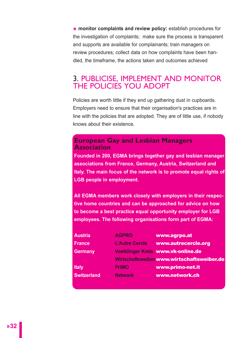**\* monitor complaints and review policy:** establish procedures for the investigation of complaints; make sure the process is transparent and supports are available for complainants; train managers on review procedures; collect data on how complaints have been handled, the timeframe, the actions taken and outcomes achieved

## 3. PUBLICISE, IMPLEMENT AND MONITOR THE POLICIES YOU ADOPT

Policies are worth little if they end up gathering dust in cupboards. Employers need to ensure that their organisation's practices are in line with the policies that are adopted. They are of little use, if nobody knows about their existence.

#### **European Gay and Lesbian Managers Association**

**Founded in 200, EGMA brings together gay and lesbian manager associations from France, Germany, Austria, Switzerland and Italy. The main focus of the network is to promote equal rights of LGB people in employment.** 

**All EGMA members work closely with employers in their respective home countries and can be approached for advice on how to become a best practice equal opportunity employer for LGB employees. The following organisations form part of EGMA:**

| <b>Austria</b>     | <b>AGPRO</b>          | www.agrpo.at                               |
|--------------------|-----------------------|--------------------------------------------|
| <b>France</b>      | <b>L'Autre Cercle</b> | www.autrecercle.org                        |
| <b>Germany</b>     |                       | Voelklinger Kreis www.vk-online.de         |
|                    |                       | Wirtschaftsweiber www.wirtschaftsweiber.de |
| Italy              | <b>PrIMO</b>          | www.primo-net.it                           |
| <b>Switzerland</b> | <b>Network</b>        | www.network.ch                             |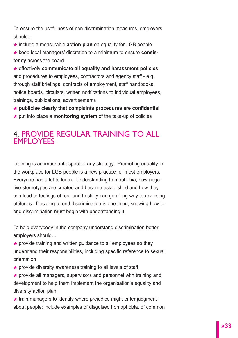To ensure the usefulness of non-discrimination measures, employers should…

**\*** include a measurable **action plan** on equality for LGB people

**\*** keep local managers' discretion to a minimum to ensure **consistency** across the board

**\*** effectively **communicate all equality and harassment policies** and procedures to employees, contractors and agency staff - e.g. through staff briefings, contracts of employment, staff handbooks, notice boards, circulars, written notifications to individual employees, trainings, publications, advertisements

**\* publicise clearly that complaints procedures are confidential**

**\*** put into place a **monitoring system** of the take-up of policies

# 4. PROVIDE REGULAR TRAINING TO ALL **EMPLOYEES**

Training is an important aspect of any strategy. Promoting equality in the workplace for LGB people is a new practice for most employers. Everyone has a lot to learn. Understanding homophobia, how negative stereotypes are created and become established and how they can lead to feelings of fear and hostility can go along way to reversing attitudes. Deciding to end discrimination is one thing, knowing how to end discrimination must begin with understanding it.

To help everybody in the company understand discrimination better, employers should…

**\*** provide training and written guidance to all employees so they understand their responsibilities, including specific reference to sexual orientation

**\*** provide diversity awareness training to all levels of staff

**\*** provide all managers, supervisors and personnel with training and development to help them implement the organisation's equality and diversity action plan

**\*** train managers to identify where prejudice might enter judgment about people; include examples of disguised homophobia, of common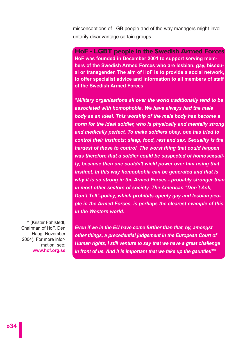misconceptions of LGB people and of the way managers might involuntarily disadvantage certain groups

**HoF - LGBT people in the Swedish Armed Forces HoF was founded in December 2001 to support serving members of the Swedish Armed Forces who are lesbian, gay, bisexual or transgender. The aim of HoF is to provide a social network, to offer specialist advice and information to all members of staff of the Swedish Armed Forces.**

*"Military organisations all over the world traditionally tend to be associated with homophobia. We have always had the male body as an ideal. This worship of the male body has become a norm for the ideal soldier, who is physically and mentally strong and medically perfect. To make soldiers obey, one has tried to control their instincts: sleep, food, rest and sex. Sexuality is the hardest of these to control. The worst thing that could happen was therefore that a soldier could be suspected of homosexuality, because then one couldn't wield power over him using that instinct. In this way homophobia can be generated and that is why it is so strong in the Armed Forces - probably stronger than in most other sectors of society. The American "Don´t Ask, Don´t Tell"-policy, which prohibits openly gay and lesbian people in the Armed Forces, is perhaps the clearest example of this in the Western world.* 

<sup>37</sup> (Krister Fahlstedt, Chairman of HoF, Den Haag, November 2004), For more information, see: **www.hof.org.se** 

*Even if we in the EU have come further than that, by, amongst other things, a precedential judgement in the European Court of Human rights, I still venture to say that we have a great challenge in front of us. And it is important that we take up the gauntlet!"37*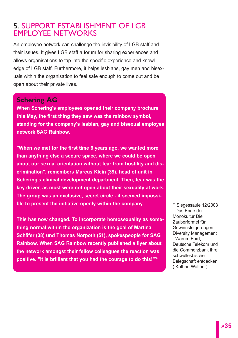## 5. SUPPORT ESTABLISHMENT OF LGB EMPLOYEE NETWORKS

An employee network can challenge the invisibility of LGB staff and their issues. It gives LGB staff a forum for sharing experiences and allows organisations to tap into the specific experience and knowledge of LGB staff. Furthermore, it helps lesbians, gay men and bisexuals within the organisation to feel safe enough to come out and be open about their private lives.

#### **Schering AG**

**When Schering's employees opened their company brochure this May, the first thing they saw was the rainbow symbol, standing for the company's lesbian, gay and bisexual employee network SAG Rainbow.** 

**"When we met for the first time 6 years ago, we wanted more than anything else a secure space, where we could be open about our sexual orientation without fear from hostility and discrimination", remembers Marcus Klein (39), head of unit in Schering's clinical development department. Then, fear was the key driver, as most were not open about their sexuality at work. The group was an exclusive, secret circle - it seemed impossible to present the initiative openly within the company.** 

**This has now changed. To incorporate homosexuality as something normal within the organization is the goal of Martina Schäfer (38) und Thomas Norpoth (51), spokespeople for SAG Rainbow. When SAG Rainbow recently published a flyer about the network amongst their fellow colleagues the reaction was positive. "It is brilliant that you had the courage to do this!"38**

<sup>38</sup> Siegessäule 12/2003 - Das Ende der Monokultur Die Zauberformel für Gewinnsteigerungen: Diversity Management : Warum Ford, Deutsche Telekom und die Commerzbank ihre schwullesbische Belegschaft entdecken ( Kathrin Walther)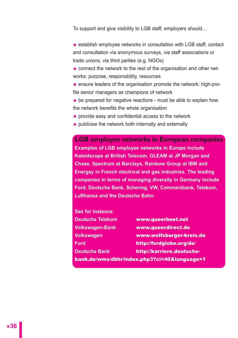To support and give visibility to LGB staff, employers should…

**\*** establish employee networks in consultation with LGB staff; contact and consultation via anonymous surveys, via staff associations or trade unions, via third parties (e.g. NGOs)

\* connect the network to the rest of the organisation and other networks: purpose, responsibility, resources

**\*** ensure leaders of the organisation promote the network: high-profile senior managers as champions of network

**\*** be prepared for negative reactions - must be able to explain how the network benefits the whole organisation

- **\*** provide easy and confidential access to the network
- **\*** publicise the network both internally and externally

**LGB employee networks in European companies Examples of LGB employee networks in Europe include Kaleidscope at British Telecom, GLEAM at JP Morgan and Chase, Spectrum at Barclays, Rainbow Group at IBM and Energay in French electrical and gas industries. The leading companies in terms of managing diversity in Germany include Ford, Deutsche Bank, Schering, VW, Commerzbank, Telekom, Lufthansa and the Deutsche Bahn.** 

**See for instance:**

| <b>Deutsche Telekom</b> | www.queerbeet.net                            |  |
|-------------------------|----------------------------------------------|--|
| <b>Volkswagen-Bank</b>  | www.queerdirect.de                           |  |
| Volkswagen              | www.wolfsburger-kreis.de                     |  |
| Ford                    | http://fordglobe.org/de/                     |  |
| <b>Deutsche Bank</b>    | http://karriere.deutsche-                    |  |
|                         | bank.de/wms/dbhr/index.php3?ci=40&language=1 |  |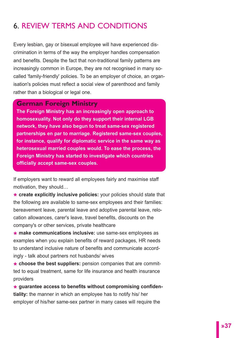# 6. REVIEW TERMS AND CONDITIONS

Every lesbian, gay or bisexual employee will have experienced discrimination in terms of the way the employer handles compensation and benefits. Despite the fact that non-traditional family patterns are increasingly common in Europe, they are not recognised in many socalled 'family-friendly' policies. To be an employer of choice, an organisation's policies must reflect a social view of parenthood and family rather than a biological or legal one.

#### **German Foreign Ministry**

**The Foreign Ministry has an increasingly open approach to homosexuality. Not only do they support their internal LGB network, they have also begun to treat same-sex registered partnerships en par to marriage. Registered same-sex couples, for instance, qualify for diplomatic service in the same way as heterosexual married couples would. To ease the process, the Foreign Ministry has started to investigate which countries officially accept same-sex couples.** 

If employers want to reward all employees fairly and maximise staff motivation, they should…

**\* create explicitly inclusive policies:** your policies should state that the following are available to same-sex employees and their families: bereavement leave, parental leave and adoptive parental leave, relocation allowances, carer's leave, travel benefits, discounts on the company's or other services, private healthcare

**\* make communications inclusive:** use same-sex employees as examples when you explain benefits of reward packages, HR needs to understand inclusive nature of benefits and communicate accordingly - talk about partners not husbands/ wives

**\* choose the best suppliers:** pension companies that are committed to equal treatment, same for life insurance and health insurance providers

**\* guarantee access to benefits without compromising confidentiality:** the manner in which an employee has to notify his/ her employer of his/her same-sex partner in many cases will require the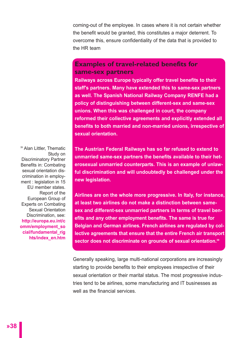coming-out of the employee. In cases where it is not certain whether the benefit would be granted, this constitutes a major deterrent. To overcome this, ensure confidentiality of the data that is provided to the HR team

#### **Examples of travel-related benefits for same-sex partners**

**Railways across Europe typically offer travel benefits to their staff's partners. Many have extended this to same-sex partners as well. The Spanish National Railway Company RENFE had a policy of distinguishing between different-sex and same-sex unions. When this was challenged in court, the company reformed their collective agreements and explicitly extended all benefits to both married and non-married unions, irrespective of sexual orientation.** 

<sup>39</sup> Alan Littler, Thematic Study on Discriminatory Partner Benefits in: Combating sexual orientation discrimination in employment : legislation in 15 EU member states. Report of the European Group of Experts on Combating Sexual Orientation Discrimination, see: **http://europa.eu.int/c omm/employment\_so cial/fundamental\_rig hts/index\_en.htm**

**The Austrian Federal Railways has so far refused to extend to unmarried same-sex partners the benefits available to their heterosexual unmarried counterparts. This is an example of unlawful discrimination and will undoubtedly be challenged under the new legislation.** 

**Airlines are on the whole more progressive. In Italy, for instance, at least two airlines do not make a distinction between samesex and different-sex unmarried partners in terms of travel benefits and any other employment benefits. The same is true for Belgian and German airlines. French airlines are regulated by collective agreements that ensure that the entire French air transport sector does not discriminate on grounds of sexual orientation.39**

Generally speaking, large multi-national corporations are increasingly starting to provide benefits to their employees irrespective of their sexual orientation or their marital status. The most progressive industries tend to be airlines, some manufacturing and IT businesses as well as the financial services.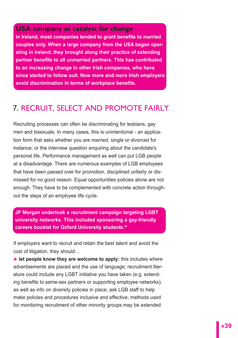**USA company as catalyst for change In Ireland, most companies tended to grant benefits to married couples only. When a large company from the USA began operating in Ireland, they brought along their practice of extending partner benefits to all unmarried partners. This has contributed to an increasing change in other Irish companies, who have since started to follow suit. Now more and more Irish employers avoid discrimination in terms of workplace benefits.**

# 7. RECRUIT, SELECT AND PROMOTE FAIRLY

Recruiting processes can often be discriminating for lesbians, gay men and bisexuals. In many cases, this is unintentional - an application form that asks whether you are married, single or divorced for instance; or the interview question enquiring about the candidate's personal life. Performance management as well can put LGB people at a disadvantage. There are numerous examples of LGB employees that have been passed over for promotion, disciplined unfairly or dismissed for no good reason. Equal opportunities policies alone are not enough. They have to be complemented with concrete action throughout the steps of an employee life cycle.

**JP Morgan undertook a recruitment campaign targeting LGBT university networks. This included sponsoring a gay-friendly careers booklet for Oxford University students.40**

If employers want to recruit and retain the best talent and avoid the cost of litigation, they should…

**\* let people know they are welcome to apply:** this includes where advertisements are placed and the use of language; recruitment literature could include any LGBT initiative you have taken (e.g. extending benefits to same-sex partners or supporting employee networks), as well as info on diversity policies in place; ask LGB staff to help make policies and procedures inclusive and effective; methods used for monitoring recruitment of other minority groups may be extended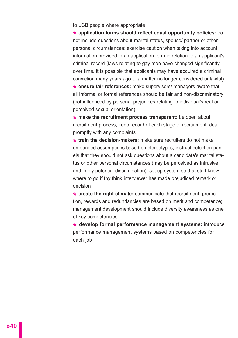#### to LGB people where appropriate

**\* application forms should reflect equal opportunity policies:** do not include questions about marital status, spouse/ partner or other personal circumstances; exercise caution when taking into account information provided in an application form in relation to an applicant's criminal record (laws relating to gay men have changed significantly over time. It is possible that applicants may have acquired a criminal conviction many years ago to a matter no longer considered unlawful)

**\* ensure fair references:** make supervisors/ managers aware that all informal or formal references should be fair and non-discriminatory (not influenced by personal prejudices relating to individual's real or perceived sexual orientation)

**\* make the recruitment process transparent:** be open about recruitment process, keep record of each stage of recruitment, deal promptly with any complaints

**\* train the decision-makers:** make sure recruiters do not make unfounded assumptions based on stereotypes; instruct selection panels that they should not ask questions about a candidate's marital status or other personal circumstances (may be perceived as intrusive and imply potential discrimination); set up system so that staff know where to go if thy think interviewer has made prejudiced remark or decision

**\* create the right climate:** communicate that recruitment, promotion, rewards and redundancies are based on merit and competence; management development should include diversity awareness as one of key competencies

**\* develop formal performance management systems:** introduce performance management systems based on competencies for each job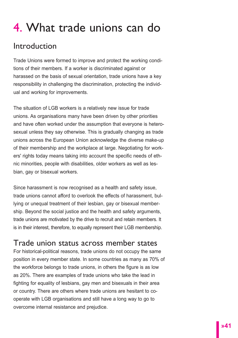# 4. What trade unions can do

# Introduction

Trade Unions were formed to improve and protect the working conditions of their members. If a worker is discriminated against or harassed on the basis of sexual orientation, trade unions have a key responsibility in challenging the discrimination, protecting the individual and working for improvements.

The situation of LGB workers is a relatively new issue for trade unions. As organisations many have been driven by other priorities and have often worked under the assumption that everyone is heterosexual unless they say otherwise. This is gradually changing as trade unions across the European Union acknowledge the diverse make-up of their membership and the workplace at large. Negotiating for workers' rights today means taking into account the specific needs of ethnic minorities, people with disabilities, older workers as well as lesbian, gay or bisexual workers.

Since harassment is now recognised as a health and safety issue, trade unions cannot afford to overlook the effects of harassment, bullying or unequal treatment of their lesbian, gay or bisexual membership. Beyond the social justice and the health and safety arguments, trade unions are motivated by the drive to recruit and retain members. It is in their interest, therefore, to equally represent their LGB membership.

# Trade union status across member states

For historical-political reasons, trade unions do not occupy the same position in every member state. In some countries as many as 70% of the workforce belongs to trade unions, in others the figure is as low as 20%. There are examples of trade unions who take the lead in fighting for equality of lesbians, gay men and bisexuals in their area or country. There are others where trade unions are hesitant to cooperate with LGB organisations and still have a long way to go to overcome internal resistance and prejudice.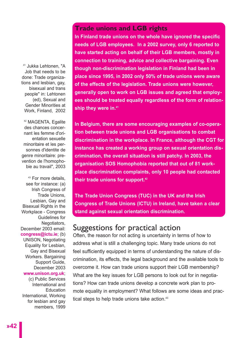<sup>41</sup> Jukka Lehtonen, "A Job that needs to be done: Trade organizations and lesbian, gay. bisexual and trans people" in: Lehtonen (ed), Sexual and Gender Minorities at Work, Finland, 2002

<sup>42</sup> MAGENTA, Egalite des chances concernant les femme d'orientation sexuelle minoritaire et les personnes d'identite de genre minoritaire: prevention de l'homophobie au travail", 2003

<sup>43</sup> For more details, see for instance: (a) Irish Congress of Trade Unions, Lesbian, Gay and Bisexual Rights in the Workplace - Congress Guidelines for Negotiators, December 2003 email: **congress@ictu.ie**; (b) UNISON, Negotiating Equality for Lesbian, Gay and Bisexual Workers. Bargaining Support Guide, December 2003 **www.unison.org.uk**; (c) Public Services International and Education International, Working for lesbian and gay members, 1999 **Trade unions and LGB rights**

**In Finland trade unions on the whole have ignored the specific needs of LGB employees. In a 2002 survey, only 6 reported to have started acting on behalf of their LGB members, mostly in connection to training, advice and collective bargaining. Even though non-discrimination legislation in Finland had been in place since 1995, in 2002 only 50% of trade unions were aware of the effects of the legislation. Trade unions were however, generally open to work on LGB issues and agreed that employees should be treated equally regardless of the form of relationship they were in.41**

**In Belgium, there are some encouraging examples of co-operation between trade unions and LGB organisations to combat discrimination in the workplace. In France, although the CGT for instance has created a working group on sexual orientation discrimination, the overall situation is still patchy. In 2003, the organisation SOS Homophobia reported that out of 81 workplace discrimination complaints, only 10 people had contacted their trade unions for support.42**

**The Trade Union Congress (TUC) in the UK and the Irish Congress of Trade Unions (ICTU) in Ireland, have taken a clear stand against sexual orientation discrimination.**

## Suggestions for practical action

Often, the reason for not acting is uncertainty in terms of how to address what is still a challenging topic. Many trade unions do not feel sufficiently equipped in terms of understanding the nature of discrimination, its effects, the legal background and the available tools to overcome it. How can trade unions support their LGB membership? What are the key issues for LGB persons to look out for in negotiations? How can trade unions develop a concrete work plan to promote equality in employment? What follows are some ideas and practical steps to help trade unions take action.<sup>43</sup>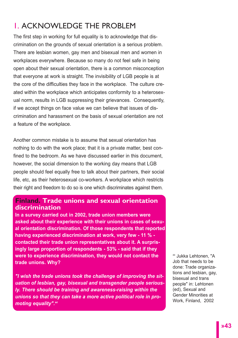# 1. ACKNOWLEDGE THE PROBLEM

The first step in working for full equality is to acknowledge that discrimination on the grounds of sexual orientation is a serious problem. There are lesbian women, gay men and bisexual men and women in workplaces everywhere. Because so many do not feel safe in being open about their sexual orientation, there is a common misconception that everyone at work is straight. The invisibility of LGB people is at the core of the difficulties they face in the workplace. The culture created within the workplace which anticipates conformity to a heterosexual norm, results in LGB suppressing their grievances. Consequently, if we accept things on face value we can believe that issues of discrimination and harassment on the basis of sexual orientation are not a feature of the workplace.

Another common mistake is to assume that sexual orientation has nothing to do with the work place; that it is a private matter, best confined to the bedroom. As we have discussed earlier in this document, however, the social dimension to the working day means that LGB people should feel equally free to talk about their partners, their social life, etc, as their heterosexual co-workers. A workplace which restricts their right and freedom to do so is one which discriminates against them.

#### **Finland. Trade unions and sexual orientation discrimination**

**In a survey carried out in 2002, trade union members were asked about their experience with their unions in cases of sexual orientation discrimination. Of those respondents that reported having experienced discrimination at work, very few - 11 % contacted their trade union representatives about it. A surprisingly large proportion of respondents - 53% - said that if they were to experience discrimination, they would not contact the trade unions. Why?** 

*"I wish the trade unions took the challenge of improving the situation of lesbian, gay, bisexual and transgender people seriously. There should be training and awareness-raising within the unions so that they can take a more active political role in promoting equality".44*

<sup>44</sup> Jukka Lehtonen, "A Job that needs to be done: Trade organizations and lesbian, gay, bisexual and trans people" in: Lehtonen (ed), Sexual and Gender Minorities at Work, Finland, 2002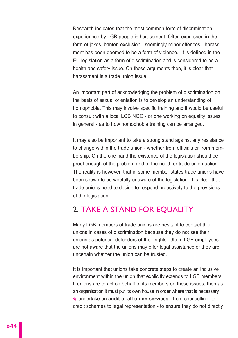Research indicates that the most common form of discrimination experienced by LGB people is harassment. Often expressed in the form of jokes, banter, exclusion - seemingly minor offences - harassment has been deemed to be a form of violence. It is defined in the EU legislation as a form of discrimination and is considered to be a health and safety issue. On these arguments then, it is clear that harassment is a trade union issue.

An important part of acknowledging the problem of discrimination on the basis of sexual orientation is to develop an understanding of homophobia. This may involve specific training and it would be useful to consult with a local LGB NGO - or one working on equality issues in general - as to how homophobia training can be arranged.

It may also be important to take a strong stand against any resistance to change within the trade union - whether from officials or from membership. On the one hand the existence of the legislation should be proof enough of the problem and of the need for trade union action. The reality is however, that in some member states trade unions have been shown to be woefully unaware of the legislation. It is clear that trade unions need to decide to respond proactively to the provisions of the legislation.

# 2. TAKE A STAND FOR EQUALITY

Many LGB members of trade unions are hesitant to contact their unions in cases of discrimination because they do not see their unions as potential defenders of their rights. Often, LGB employees are not aware that the unions may offer legal assistance or they are uncertain whether the union can be trusted.

It is important that unions take concrete steps to create an inclusive environment within the union that explicitly extends to LGB members. If unions are to act on behalf of its members on these issues, then as an organisation it must put its own house in order where that is necessary. **\*** undertake an **audit of all union services** - from counselling, to credit schemes to legal representation - to ensure they do not directly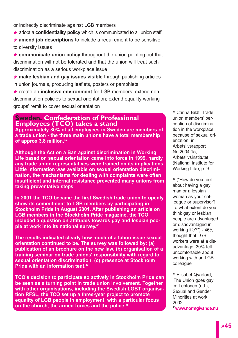or indirectly discriminate against LGB members

**\*** adopt a **confidentiality policy** which is communicated to all union staff

**\* amend job descriptions** to include a requirement to be sensitive to diversity issues

**\* communicate union policy** throughout the union pointing out that discrimination will not be tolerated and that the union will treat such discrimination as a serious workplace issue

**\* make lesbian and gay issues visible** through publishing articles in union journals, producing leaflets, posters or pamphlets

**\*** create an **inclusive environment** for LGB members: extend nondiscrimination policies to sexual orientation; extend equality working groups' remit to cover sexual orientation

#### **Sweden. Confederation of Professional Employees (TCO) takes a stand**

**Approximately 80% of all employees in Sweden are members of a trade union - the three main unions have a total membership of approx 3.8 million.45**

**Although the Act on a Ban against discrimination in Working Life based on sexual orientation came into force in 1999, hardly any trade union representatives were trained on its implications. Little information was available on sexual orientation discrimination, the mechanisms for dealing with complaints were often insufficient and internal resistance prevented many unions from taking preventative steps.** 

**In 2001 the TCO became the first Swedish trade union to openly show its commitment to LGB members by participating in Stockholm Pride in August 2001. After publishing an article on LGB members in the Stockholm Pride magazine, the TCO included a question on attitudes towards gay and lesbian people at work into its national survey.46**

**The results indicated clearly how much of a taboo issue sexual orientation continued to be. The survey was followed by: (a) publication of an brochure on the new law, (b) organisation of a training seminar on trade unions' responsibility with regard to sexual orientation discrimination, (c) presence at Stockholm Pride with an information tent.47**

**TCO's decision to participate so actively in Stockholm Pride can be seen as a turning point in trade union involvement. Together with other organisations, including the Swedish LGBT organisation RFSL, the TCO set up a three-year project to promote equality of LGB people in employment, with a particular focus on the church, the armed forces and the police.48**

<sup>45</sup> Carina Bildt, Trade union members' perception of discrimination in the workplace because of sexual orientation, in: Arbetslivsrapport Nr. 2004:15, **Arbetslivsinstitutet** (National Institute for Working Life), p. 9

<sup>46</sup> ("How do you feel about having a gay man or a lesbian woman as your colleague or supervisor? To what extent do you think gay or lesbian people are advantaged or disadvantaged in working life?") - 46% thought that LGB workers were at a disadvantage, 30% felt uncomfortable about working with an LGB colleague

<sup>47</sup> Elisabet Qvarford, 'The Union goes gay' in: Lehtonen (ed.), Sexual and Gender Minorities at work, 2002 48**www.normgivande.nu**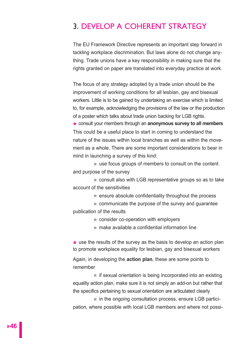# 3. DEVELOP A COHERENT STRATEGY

The EU Framework Directive represents an important step forward in tackling workplace discrimination. But laws alone do not change anything. Trade unions have a key responsibility in making sure that the rights granted on paper are translated into everyday practice at work.

The focus of any strategy adopted by a trade union should be the improvement of working conditions for all lesbian, gay and bisexual workers. Little is to be gained by undertaking an exercise which is limited to, for example, acknowledging the provisions of the law or the production of a poster which talks about trade union backing for LGB rights.

**\*** consult your members through an **anonymous survey to all members** This could be a useful place to start in coming to understand the nature of the issues within local branches as well as within the movement as a whole. There are some important considerations to bear in mind in launching a survey of this kind:

**\*** use focus groups of members to consult on the content and purpose of the survey

**\*** consult also with LGB representative groups so as to take account of the sensitivities

**\*** ensure absolute confidentiality throughout the process

**\*** communicate the purpose of the survey and guarantee publication of the results

**\*** consider co-operation with employers

**\*** make available a confidential information line

**\*** use the results of the survey as the basis to develop an action plan to promote workplace equality for lesbian, gay and bisexual workers

Again, in developing the **action plan**, these are some points to remember

**\*** if sexual orientation is being incorporated into an existing equality action plan, make sure it is not simply an add-on but rather that the specifics pertaining to sexual orientation are articulated clearly

**\*** in the ongoing consultation process, ensure LGB participation, where possible with local LGB members and where not possi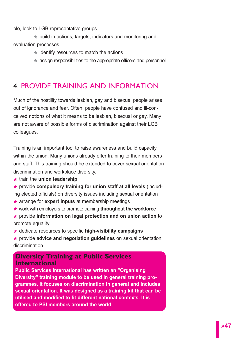ble, look to LGB representative groups

**\*** build in actions, targets, indicators and monitoring and evaluation processes

**\*** identify resources to match the actions

**\*** assign responsibilities to the appropriate officers and personnel

# 4. PROVIDE TRAINING AND INFORMATION

Much of the hostility towards lesbian, gay and bisexual people arises out of ignorance and fear. Often, people have confused and ill-conceived notions of what it means to be lesbian, bisexual or gay. Many are not aware of possible forms of discrimination against their LGB colleagues.

Training is an important tool to raise awareness and build capacity within the union. Many unions already offer training to their members and staff. This training should be extended to cover sexual orientation discrimination and workplace diversity.

- **\*** train the **union leadership**
- **\*** provide **compulsory training for union staff at all levels** (including elected officials) on diversity issues including sexual orientation
- **\*** arrange for **expert inputs** at membership meetings
- **\*** work with employers to promote training **throughout the workforce**
- **\*** provide **information on legal protection and on union action** to promote equality
- **\*** dedicate resources to specific **high-visibility campaigns**
- **\*** provide **advice and negotiation guidelines** on sexual orientation discrimination

#### **Diversity Training at Public Services International**

**Public Services International has written an "Organising Diversity" training module to be used in general training programmes. It focuses on discrimination in general and includes sexual orientation. It was designed as a training kit that can be utilised and modified to fit different national contexts. It is offered to PSI members around the world**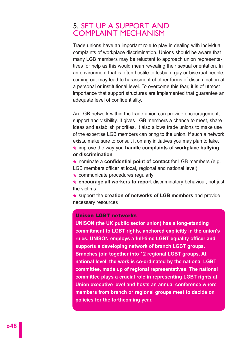## 5. SET UP A SUPPORT AND COMPI AINT MECHANISM

Trade unions have an important role to play in dealing with individual complaints of workplace discrimination. Unions should be aware that many LGB members may be reluctant to approach union representatives for help as this would mean revealing their sexual orientation. In an environment that is often hostile to lesbian, gay or bisexual people, coming out may lead to harassment of other forms of discrimination at a personal or institutional level. To overcome this fear, it is of utmost importance that support structures are implemented that guarantee an adequate level of confidentiality.

An LGB network within the trade union can provide encouragement, support and visibility. It gives LGB members a chance to meet, share ideas and establish priorities. It also allows trade unions to make use of the expertise LGB members can bring to the union. If such a network exists, make sure to consult it on any initiatives you may plan to take.

**\*** improve the way you **handle complaints of workplace bullying or discrimination**

**\*** nominate a **confidential point of contact** for LGB members (e.g.

- LGB members officer at local, regional and national level)
- **\*** communicate procedures regularly

**\* encourage all workers to report** discriminatory behaviour, not just the victims

**\*** support the **creation of networks of LGB members** and provide necessary resources

#### Unison LGBT networks

**UNISON (the UK public sector union) has a long-standing commitment to LGBT rights, anchored explicitly in the union's rules. UNISON employs a full-time LGBT equality officer and supports a developing network of branch LGBT groups. Branches join together into 12 regional LGBT groups. At national level, the work is co-ordinated by the national LGBT committee, made up of regional representatives. The national committee plays a crucial role in representing LGBT rights at Union executive level and hosts an annual conference where members from branch or regional groups meet to decide on policies for the forthcoming year.**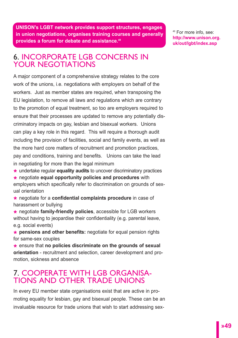**UNISON's LGBT network provides support structures, engages in union negotiations, organises training courses and generally provides a forum for debate and assistance.49**

<sup>49</sup> For more info, see: **http://www.unison.org. uk/out/lgbt/index.asp** 

# 6. INCORPORATE LGB CONCERNS IN YOUR NEGOTIATIONS

A major component of a comprehensive strategy relates to the core work of the unions, i.e. negotiations with employers on behalf of the workers. Just as member states are required, when transposing the EU legislation, to remove all laws and regulations which are contrary to the promotion of equal treatment, so too are employers required to ensure that their processes are updated to remove any potentially discriminatory impacts on gay, lesbian and bisexual workers. Unions can play a key role in this regard. This will require a thorough audit including the provision of facilities, social and family events, as well as the more hard core matters of recruitment and promotion practices, pay and conditions, training and benefits. Unions can take the lead in negotiating for more than the legal minimum

**\*** undertake regular **equality audits** to uncover discriminatory practices

**\*** negotiate **equal opportunity policies and procedures** with employers which specifically refer to discrimination on grounds of sexual orientation

**\*** negotiate for a **confidential complaints procedure** in case of harassment or bullying

**\*** negotiate **family-friendly policies**, accessible for LGB workers without having to jeopardise their confidentiality (e.g. parental leave, e.g. social events)

**\* pensions and other benefits:** negotiate for equal pension rights for same-sex couples

**\*** ensure that **no policies discriminate on the grounds of sexual orientation** - recruitment and selection, career development and promotion, sickness and absence

# 7. COOPERATE WITH LGB ORGANISA-TIONS AND OTHER TRADE UNIONS

In every EU member state organisations exist that are active in promoting equality for lesbian, gay and bisexual people. These can be an invaluable resource for trade unions that wish to start addressing sex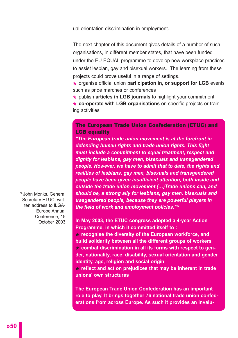ual orientation discrimination in employment.

The next chapter of this document gives details of a number of such organisations, in different member states, that have been funded under the EU EQUAL programme to develop new workplace practices to assist lesbian, gay and bisexual workers. The learning from these projects could prove useful in a range of settings.

**\*** organise official union **participation in, or support for LGB** events such as pride marches or conferences

**\*** publish **articles in LGB journals** to highlight your commitment

**\* co-operate with LGB organisations** on specific projects or training activities

#### The European Trade Union Confederation (ETUC) and **LGB equality**

*"The European trade union movement is at the forefront in defending human rights and trade union rights. This fight must include a commitment to equal treatment, respect and dignity for lesbians, gay men, bisexuals and transgendered people. However, we have to admit that to date, the rights and realities of lesbians, gay men, bisexuals and transgendered people have been given insufficient attention, both inside and outside the trade union movement.(…)Trade unions can, and should be, a strong ally for lesbians, gay men, bisexuals and trasgendered people, because they are powerful players in the field of work and employment policies."50* 

50 John Monks, General Secretary ETUC, written address to ILGA-Europe Annual Conference, 15 October 2003

**In May 2003, the ETUC congress adopted a 4-year Action Programme, in which it committed itself to :**

**\* recognise the diversity of the European workforce, and build solidarity between all the different groups of workers \* combat discrimination in all its forms with respect to gender, nationality, race, disability, sexual orientation and gender identity, age, religion and social origin**

**\* reflect and act on prejudices that may be inherent in trade unions' own structures**

**The European Trade Union Confederation has an important role to play. It brings together 76 national trade union confederations from across Europe. As such it provides an invalu-**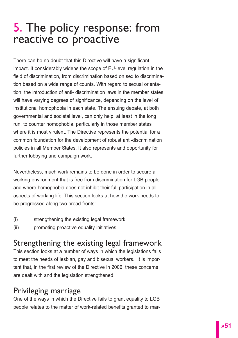# 5. The policy response: from reactive to proactive

There can be no doubt that this Directive will have a significant impact. It considerably widens the scope of EU-level regulation in the field of discrimination, from discrimination based on sex to discrimination based on a wide range of counts. With regard to sexual orientation, the introduction of anti- discrimination laws in the member states will have varying degrees of significance, depending on the level of institutional homophobia in each state. The ensuing debate, at both governmental and societal level, can only help, at least in the long run, to counter homophobia, particularly in those member states where it is most virulent. The Directive represents the potential for a common foundation for the development of robust anti-discrimination policies in all Member States. It also represents and opportunity for further lobbying and campaign work.

Nevertheless, much work remains to be done in order to secure a working environment that is free from discrimination for LGB people and where homophobia does not inhibit their full participation in all aspects of working life. This section looks at how the work needs to be progressed along two broad fronts:

- (i) strengthening the existing legal framework
- (ii) promoting proactive equality initiatives

# Strengthening the existing legal framework

This section looks at a number of ways in which the legislations fails to meet the needs of lesbian, gay and bisexual workers. It is important that, in the first review of the Directive in 2006, these concerns are dealt with and the legislation strengthened.

# Privileging marriage

One of the ways in which the Directive fails to grant equality to LGB people relates to the matter of work-related benefits granted to mar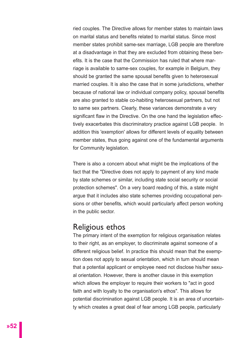ried couples. The Directive allows for member states to maintain laws on marital status and benefits related to marital status. Since most member states prohibit same-sex marriage, LGB people are therefore at a disadvantage in that they are excluded from obtaining these benefits. It is the case that the Commission has ruled that where marriage is available to same-sex couples, for example in Belgium, they should be granted the same spousal benefits given to heterosexual married couples. It is also the case that in some jurisdictions, whether because of national law or individual company policy, spousal benefits are also granted to stable co-habiting heterosexual partners, but not to same sex partners. Clearly, these variances demonstrate a very significant flaw in the Directive. On the one hand the legislation effectively exacerbates this discriminatory practice against LGB people. In addition this 'exemption' allows for different levels of equality between member states, thus going against one of the fundamental arguments for Community legislation.

There is also a concern about what might be the implications of the fact that the "Directive does not apply to payment of any kind made by state schemes or similar, including state social security or social protection schemes". On a very board reading of this, a state might argue that it includes also state schemes providing occupational pensions or other benefits, which would particularly affect person working in the public sector.

#### Religious ethos

The primary intent of the exemption for religious organisation relates to their right, as an employer, to discriminate against someone of a different religious belief. In practice this should mean that the exemption does not apply to sexual orientation, which in turn should mean that a potential applicant or employee need not disclose his/her sexual orientation. However, there is another clause in this exemption which allows the employer to require their workers to "act in good faith and with loyalty to the organisation's ethos". This allows for potential discrimination against LGB people. It is an area of uncertainty which creates a great deal of fear among LGB people, particularly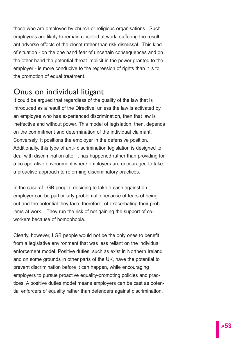those who are employed by church or religious organisations. Such employees are likely to remain closeted at work, suffering the resultant adverse effects of the closet rather than risk dismissal. This kind of situation - on the one hand fear of uncertain consequences and on the other hand the potential threat implicit in the power granted to the employer - is more conducive to the regression of rights than it is to the promotion of equal treatment.

# Onus on individual litigant

It could be argued that regardless of the quality of the law that is introduced as a result of the Directive, unless the law is activated by an employee who has experienced discrimination, then that law is ineffective and without power. This model of legislation, then, depends on the commitment and determination of the individual claimant. Conversely, it positions the employer in the defensive position. Additionally, this type of anti- discrimination legislation is designed to deal with discrimination after it has happened rather than providing for a co-operative environment where employers are encouraged to take a proactive approach to reforming discriminatory practices.

In the case of LGB people, deciding to take a case against an employer can be particularly problematic because of fears of being out and the potential they face, therefore, of exacerbating their problems at work. They run the risk of not gaining the support of coworkers because of homophobia.

Clearly, however, LGB people would not be the only ones to benefit from a legislative environment that was less reliant on the individual enforcement model. Positive duties, such as exist in Northern Ireland and on some grounds in other parts of the UK, have the potential to prevent discrimination before it can happen, while encouraging employers to pursue proactive equality-promoting policies and practices. A positive duties model means employers can be cast as potential enforcers of equality rather than defenders against discrimination.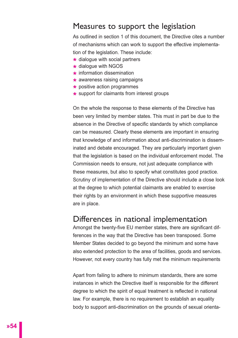# Measures to support the legislation

As outlined in section 1 of this document, the Directive cites a number of mechanisms which can work to support the effective implementation of the legislation. These include:

- **\*** dialogue with social partners
- **\*** dialogue with NGOS
- **\*** information dissemination
- **\*** awareness raising campaigns
- **\*** positive action programmes
- **\*** support for claimants from interest groups

On the whole the response to these elements of the Directive has been very limited by member states. This must in part be due to the absence in the Directive of specific standards by which compliance can be measured. Clearly these elements are important in ensuring that knowledge of and information about anti-discrimination is disseminated and debate encouraged. They are particularly important given that the legislation is based on the individual enforcement model. The Commission needs to ensure, not just adequate compliance with these measures, but also to specify what constitutes good practice. Scrutiny of implementation of the Directive should include a close look at the degree to which potential claimants are enabled to exercise their rights by an environment in which these supportive measures are in place.

#### Differences in national implementation

Amongst the twenty-five EU member states, there are significant differences in the way that the Directive has been transposed. Some Member States decided to go beyond the minimum and some have also extended protection to the area of facilities, goods and services. However, not every country has fully met the minimum requirements

Apart from failing to adhere to minimum standards, there are some instances in which the Directive itself is responsible for the different degree to which the spirit of equal treatment is reflected in national law. For example, there is no requirement to establish an equality body to support anti-discrimination on the grounds of sexual orienta-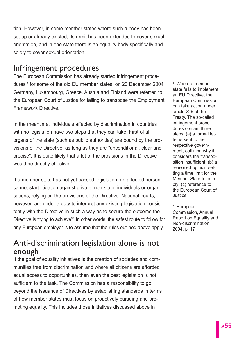tion. However, in some member states where such a body has been set up or already existed, its remit has been extended to cover sexual orientation, and in one state there is an equality body specifically and solely to cover sexual orientation.

# Infringement procedures

The European Commission has already started infringement procedures<sup>51</sup> for some of the old EU member states: on 20 December 2004 Germany, Luxembourg, Greece, Austria and Finland were referred to the European Court of Justice for failing to transpose the Employment Framework Directive.

In the meantime, individuals affected by discrimination in countries with no legislation have two steps that they can take. First of all, organs of the state (such as public authorities) are bound by the provisions of the Directive, as long as they are "unconditional, clear and precise". It is quite likely that a lot of the provisions in the Directive would be directly effective.

If a member state has not yet passed legislation, an affected person cannot start litigation against private, non-state, individuals or organisations, relying on the provisions of the Directive. National courts, however, are under a duty to interpret any existing legislation consistently with the Directive in such a way as to secure the outcome the Directive is trying to achieve<sup>52</sup>. In other words, the safest route to follow for any European employer is to assume that the rules outlined above apply.

# Anti-discrimination legislation alone is not enough

If the goal of equality initiatives is the creation of societies and communities free from discrimination and where all citizens are afforded equal access to opportunities, then even the best legislation is not sufficient to the task. The Commission has a responsibility to go beyond the issuance of Directives by establishing standards in terms of how member states must focus on proactively pursuing and promoting equality. This includes those initiatives discussed above in

<sup>51</sup> Where a member state fails to implement an EU Directive, the European Commission can take action under article 226 of the Treaty. The so-called infringement procedures contain three steps: (a) a formal letter is sent to the respective government, outlining why it considers the transposition insufficient; (b) a reasoned opinion setting a time limit for the Member State to comply; (c) reference to the European Court of Justice

<sup>52</sup> European Commission, Annual Report on Equality and Non-discrimination, 2004, p. 17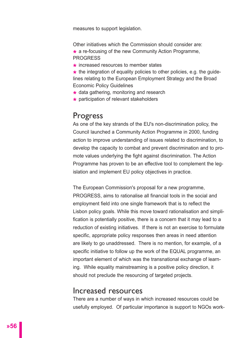measures to support legislation.

Other initiatives which the Commission should consider are:

**\*** a re-focusing of the new Community Action Programme, **PROGRESS** 

**\*** increased resources to member states

**\*** the integration of equality policies to other policies, e.g. the guidelines relating to the European Employment Strategy and the Broad Economic Policy Guidelines

- **\*** data gathering, monitoring and research
- **\*** participation of relevant stakeholders

# Progress

As one of the key strands of the EU's non-discrimination policy, the Council launched a Community Action Programme in 2000, funding action to improve understanding of issues related to discrimination, to develop the capacity to combat and prevent discrimination and to promote values underlying the fight against discrimination. The Action Programme has proven to be an effective tool to complement the legislation and implement EU policy objectives in practice.

The European Commission's proposal for a new programme, PROGRESS, aims to rationalise all financial tools in the social and employment field into one single framework that is to reflect the Lisbon policy goals. While this move toward rationalisation and simplification is potentially positive, there is a concern that it may lead to a reduction of existing initiatives. If there is not an exercise to formulate specific, appropriate policy responses then areas in need attention are likely to go unaddressed. There is no mention, for example, of a specific initiative to follow up the work of the EQUAL programme, an important element of which was the transnational exchange of learning. While equality mainstreaming is a positive policy direction, it should not preclude the resourcing of targeted projects.

## Increased resources

There are a number of ways in which increased resources could be usefully employed. Of particular importance is support to NGOs work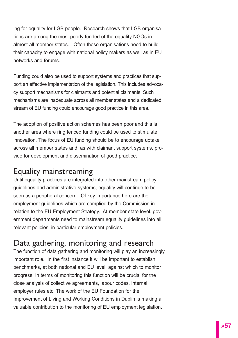ing for equality for LGB people. Research shows that LGB organisations are among the most poorly funded of the equality NGOs in almost all member states. Often these organisations need to build their capacity to engage with national policy makers as well as in EU networks and forums.

Funding could also be used to support systems and practices that support an effective implementation of the legislation. This includes advocacy support mechanisms for claimants and potential claimants. Such mechanisms are inadequate across all member states and a dedicated stream of EU funding could encourage good practice in this area.

The adoption of positive action schemes has been poor and this is another area where ring fenced funding could be used to stimulate innovation. The focus of EU funding should be to encourage uptake across all member states and, as with claimant support systems, provide for development and dissemination of good practice.

# Equality mainstreaming

Until equality practices are integrated into other mainstream policy guidelines and administrative systems, equality will continue to be seen as a peripheral concern. Of key importance here are the employment guidelines which are complied by the Commission in relation to the EU Employment Strategy. At member state level, government departments need to mainstream equality guidelines into all relevant policies, in particular employment policies.

# Data gathering, monitoring and research

The function of data gathering and monitoring will play an increasingly important role. In the first instance it will be important to establish benchmarks, at both national and EU level, against which to monitor progress. In terms of monitoring this function will be crucial for the close analysis of collective agreements, labour codes, internal employer rules etc. The work of the EU Foundation for the Improvement of Living and Working Conditions in Dublin is making a valuable contribution to the monitoring of EU employment legislation.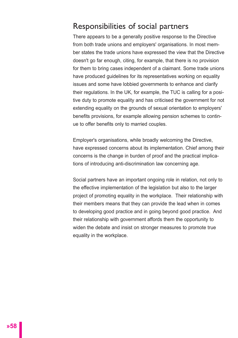# Responsibilities of social partners

There appears to be a generally positive response to the Directive from both trade unions and employers' organisations. In most member states the trade unions have expressed the view that the Directive doesn't go far enough, citing, for example, that there is no provision for them to bring cases independent of a claimant. Some trade unions have produced guidelines for its representatives working on equality issues and some have lobbied governments to enhance and clarify their regulations. In the UK, for example, the TUC is calling for a positive duty to promote equality and has criticised the government for not extending equality on the grounds of sexual orientation to employers' benefits provisions, for example allowing pension schemes to continue to offer benefits only to married couples.

Employer's organisations, while broadly welcoming the Directive, have expressed concerns about its implementation. Chief among their concerns is the change in burden of proof and the practical implications of introducing anti-discrimination law concerning age.

Social partners have an important ongoing role in relation, not only to the effective implementation of the legislation but also to the larger project of promoting equality in the workplace. Their relationship with their members means that they can provide the lead when in comes to developing good practice and in going beyond good practice. And their relationship with government affords them the opportunity to widen the debate and insist on stronger measures to promote true equality in the workplace.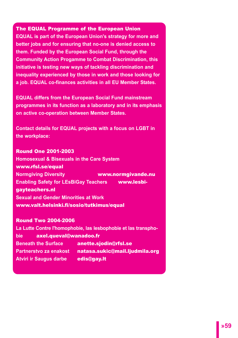#### The EQUAL Programme of the European Union

**EQUAL is part of the European Union's strategy for more and better jobs and for ensuring that no-one is denied access to them. Funded by the European Social Fund, through the Community Action Progamme to Combat Discrimination, this initiative is testing new ways of tackling discrimination and inequality experienced by those in work and those looking for a job. EQUAL co-finances activities in all EU Member States.** 

**EQUAL differs from the European Social Fund mainstream programmes in its function as a laboratory and in its emphasis on active co-operation between Member States.** 

**Contact details for EQUAL projects with a focus on LGBT in the workplace:**

#### Round One 2001-2003

**Homosexual & Bisexuals in the Care System** www.rfsl.se/equal **Normgiving Diversity** www.normgivande.nu **Enabling Safety for LEsBiGay Teachers** www.lesbigayteachers.nl **Sexual and Gender Minorities at Work** www.valt.helsinki.fi/sosio/tutkimus/equal

#### Round Two 2004-2006

**La Lutte Contre l'homophobie, las lesbophobie et las transphobie** axel.queval@wanadoo.fr **Beneath the Surface** anette.sjodin@rfsl.se **Partnerstvo za enakost** natasa.sukic@mail.ljudmila.org Atviri ir Saugus darbe edis@gay.It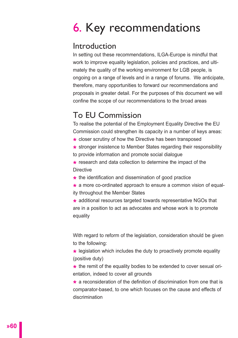# 6. Key recommendations

# Introduction

In setting out these recommendations, ILGA-Europe is mindful that work to improve equality legislation, policies and practices, and ultimately the quality of the working environment for LGB people, is ongoing on a range of levels and in a range of forums. We anticipate, therefore, many opportunities to forward our recommendations and proposals in greater detail. For the purposes of this document we will confine the scope of our recommendations to the broad areas

# To EU Commission

To realise the potential of the Employment Equality Directive the EU Commission could strengthen its capacity in a number of keys areas:

- **\*** closer scrutiny of how the Directive has been transposed
- **\*** stronger insistence to Member States regarding their responsibility to provide information and promote social dialogue
- **\*** research and data collection to determine the impact of the **Directive**
- **\*** the identification and dissemination of good practice
- **\*** a more co-ordinated approach to ensure a common vision of equality throughout the Member States

**\*** additional resources targeted towards representative NGOs that are in a position to act as advocates and whose work is to promote equality

With regard to reform of the legislation, consideration should be given to the following:

**\*** legislation which includes the duty to proactively promote equality (positive duty)

**\*** the remit of the equality bodies to be extended to cover sexual orientation, indeed to cover all grounds

**\*** a reconsideration of the definition of discrimination from one that is comparator-based, to one which focuses on the cause and effects of discrimination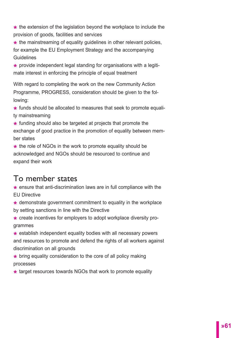**\*** the extension of the legislation beyond the workplace to include the provision of goods, facilities and services

**\*** the mainstreaming of equality guidelines in other relevant policies, for example the EU Employment Strategy and the accompanying Guidelines

**\*** provide independent legal standing for organisations with a legitimate interest in enforcing the principle of equal treatment

With regard to completing the work on the new Community Action Programme, PROGRESS, consideration should be given to the following:

**\*** funds should be allocated to measures that seek to promote equality mainstreaming

**\*** funding should also be targeted at projects that promote the exchange of good practice in the promotion of equality between member states

**\*** the role of NGOs in the work to promote equality should be acknowledged and NGOs should be resourced to continue and expand their work

# To member states

**\*** ensure that anti-discrimination laws are in full compliance with the EU Directive

**\*** demonstrate government commitment to equality in the workplace by setting sanctions in line with the Directive

**\*** create incentives for employers to adopt workplace diversity programmes

**\*** establish independent equality bodies with all necessary powers and resources to promote and defend the rights of all workers against discrimination on all grounds

**\*** bring equality consideration to the core of all policy making processes

**\*** target resources towards NGOs that work to promote equality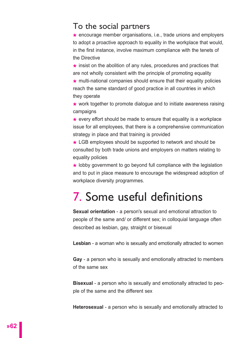# To the social partners

**\*** encourage member organisations, i.e., trade unions and employers to adopt a proactive approach to equality in the workplace that would, in the first instance, involve maximum compliance with the tenets of the Directive

**\*** insist on the abolition of any rules, procedures and practices that are not wholly consistent with the principle of promoting equality

**\*** multi-national companies should ensure that their equality policies reach the same standard of good practice in all countries in which they operate

**\*** work together to promote dialogue and to initiate awareness raising campaigns

**\*** every effort should be made to ensure that equality is a workplace issue for all employees, that there is a comprehensive communication strategy in place and that training is provided

**\*** LGB employees should be supported to network and should be consulted by both trade unions and employers on matters relating to equality policies

**\*** lobby government to go beyond full compliance with the legislation and to put in place measure to encourage the widespread adoption of workplace diversity programmes.

# 7. Some useful definitions

**Sexual orientation** - a person's sexual and emotional attraction to people of the same and/ or different sex; in colloquial language often described as lesbian, gay, straight or bisexual

**Lesbian** - a woman who is sexually and emotionally attracted to women

**Gay** - a person who is sexually and emotionally attracted to members of the same sex

**Bisexual** - a person who is sexually and emotionally attracted to people of the same and the different sex

**Heterosexual** - a person who is sexually and emotionally attracted to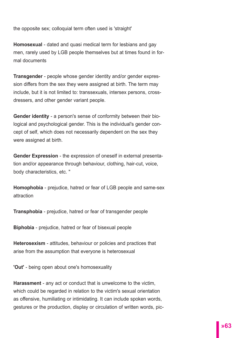the opposite sex; colloquial term often used is 'straight'

**Homosexual** - dated and quasi medical term for lesbians and gay men, rarely used by LGB people themselves but at times found in formal documents

**Transgender** - people whose gender identity and/or gender expression differs from the sex they were assigned at birth. The term may include, but it is not limited to: transsexuals, intersex persons, crossdressers, and other gender variant people.

**Gender identity** - a person's sense of conformity between their biological and psychological gender. This is the individual's gender concept of self, which does not necessarily dependent on the sex they were assigned at birth.

**Gender Expression** - the expression of oneself in external presentation and/or appearance through behaviour, clothing, hair-cut, voice, body characteristics, etc. "

**Homophobia** - prejudice, hatred or fear of LGB people and same-sex attraction

**Transphobia** - prejudice, hatred or fear of transgender people

**Biphobia** - prejudice, hatred or fear of bisexual people

**Heterosexism** - attitudes, behaviour or policies and practices that arise from the assumption that everyone is heterosexual

**'Out'** - being open about one's homosexuality

**Harassment** - any act or conduct that is unwelcome to the victim, which could be regarded in relation to the victim's sexual orientation as offensive, humiliating or intimidating. It can include spoken words, gestures or the production, display or circulation of written words, pic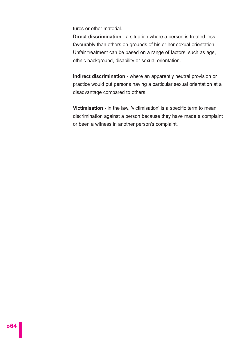tures or other material.

**Direct discrimination** - a situation where a person is treated less favourably than others on grounds of his or her sexual orientation. Unfair treatment can be based on a range of factors, such as age, ethnic background, disability or sexual orientation.

**Indirect discrimination** - where an apparently neutral provision or practice would put persons having a particular sexual orientation at a disadvantage compared to others.

**Victimisation** - in the law, 'victimisation' is a specific term to mean discrimination against a person because they have made a complaint or been a witness in another person's complaint.